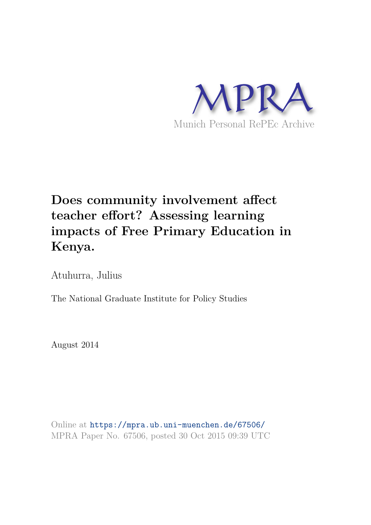

# **Does community involvement affect teacher effort? Assessing learning impacts of Free Primary Education in Kenya.**

Atuhurra, Julius

The National Graduate Institute for Policy Studies

August 2014

Online at https://mpra.ub.uni-muenchen.de/67506/ MPRA Paper No. 67506, posted 30 Oct 2015 09:39 UTC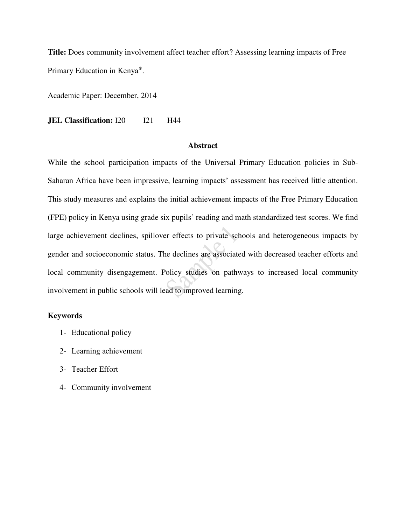**Title:** Does community involvement affect teacher effort? Assessing learning impacts of Free Primary Education in Kenya .

Academic Paper: December, 2014

**JEL Classification:** I20 I21 H44

#### **Abstract**

While the school participation impacts of the Universal Primary Education policies in Sub-Saharan Africa have been impressive, learning impacts' assessment has received little attention. This study measures and explains the initial achievement impacts of the Free Primary Education (FPE) policy in Kenya using grade six pupils' reading and math standardized test scores. We find large achievement declines, spillover effects to private schools and heterogeneous impacts by gender and socioeconomic status. The declines are associated with decreased teacher efforts and local community disengagement. Policy studies on pathways to increased local community involvement in public schools will lead to improved learning.

#### **Keywords**

- 1- Educational policy
- 2- Learning achievement
- 3- Teacher Effort
- 4- Community involvement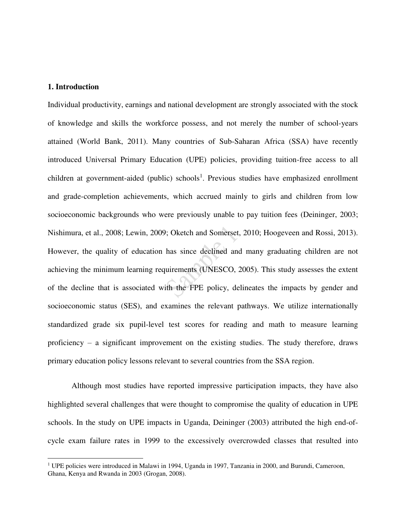#### **1. Introduction**

 $\overline{a}$ 

Individual productivity, earnings and national development are strongly associated with the stock of knowledge and skills the workforce possess, and not merely the number of school-years attained (World Bank, 2011). Many countries of Sub-Saharan Africa (SSA) have recently introduced Universal Primary Education (UPE) policies, providing tuition-free access to all children at government-aided (public) schools<sup>1</sup>. Previous studies have emphasized enrollment and grade-completion achievements, which accrued mainly to girls and children from low socioeconomic backgrounds who were previously unable to pay tuition fees (Deininger, 2003; Nishimura, et al., 2008; Lewin, 2009; Oketch and Somerset, 2010; Hoogeveen and Rossi, 2013). However, the quality of education has since declined and many graduating children are not achieving the minimum learning requirements (UNESCO, 2005). This study assesses the extent of the decline that is associated with the FPE policy, delineates the impacts by gender and socioeconomic status (SES), and examines the relevant pathways. We utilize internationally standardized grade six pupil-level test scores for reading and math to measure learning proficiency – a significant improvement on the existing studies. The study therefore, draws primary education policy lessons relevant to several countries from the SSA region.

Although most studies have reported impressive participation impacts, they have also highlighted several challenges that were thought to compromise the quality of education in UPE schools. In the study on UPE impacts in Uganda, Deininger (2003) attributed the high end-ofcycle exam failure rates in 1999 to the excessively overcrowded classes that resulted into

<sup>&</sup>lt;sup>1</sup> UPE policies were introduced in Malawi in 1994, Uganda in 1997, Tanzania in 2000, and Burundi, Cameroon, Ghana, Kenya and Rwanda in 2003 (Grogan, 2008).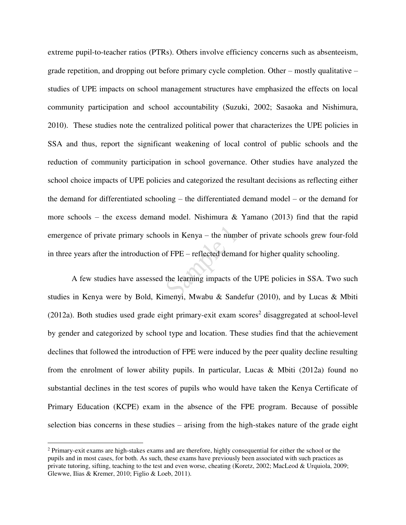extreme pupil-to-teacher ratios (PTRs). Others involve efficiency concerns such as absenteeism, grade repetition, and dropping out before primary cycle completion. Other – mostly qualitative – studies of UPE impacts on school management structures have emphasized the effects on local community participation and school accountability (Suzuki, 2002; Sasaoka and Nishimura, 2010). These studies note the centralized political power that characterizes the UPE policies in SSA and thus, report the significant weakening of local control of public schools and the reduction of community participation in school governance. Other studies have analyzed the school choice impacts of UPE policies and categorized the resultant decisions as reflecting either the demand for differentiated schooling – the differentiated demand model – or the demand for more schools – the excess demand model. Nishimura  $\&$  Yamano (2013) find that the rapid emergence of private primary schools in Kenya – the number of private schools grew four-fold in three years after the introduction of FPE – reflected demand for higher quality schooling.

A few studies have assessed the learning impacts of the UPE policies in SSA. Two such studies in Kenya were by Bold, Kimenyi, Mwabu & Sandefur (2010), and by Lucas & Mbiti  $(2012a)$ . Both studies used grade eight primary-exit exam scores<sup>2</sup> disaggregated at school-level by gender and categorized by school type and location. These studies find that the achievement declines that followed the introduction of FPE were induced by the peer quality decline resulting from the enrolment of lower ability pupils. In particular, Lucas & Mbiti (2012a) found no substantial declines in the test scores of pupils who would have taken the Kenya Certificate of Primary Education (KCPE) exam in the absence of the FPE program. Because of possible selection bias concerns in these studies – arising from the high-stakes nature of the grade eight

 $\overline{a}$ 

 $2$  Primary-exit exams are high-stakes exams and are therefore, highly consequential for either the school or the pupils and in most cases, for both. As such, these exams have previously been associated with such practices as private tutoring, sifting, teaching to the test and even worse, cheating (Koretz, 2002; MacLeod & Urquiola, 2009; Glewwe, Ilias & Kremer, 2010; Figlio & Loeb, 2011).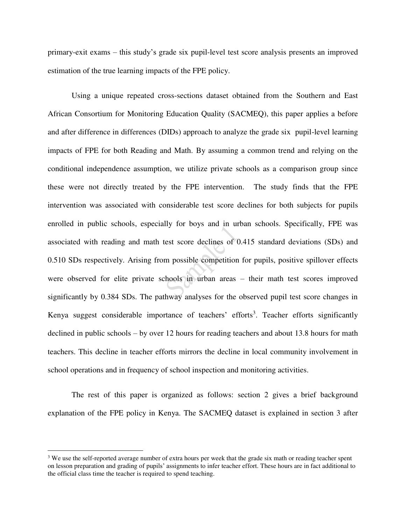primary-exit exams – this study's grade six pupil-level test score analysis presents an improved estimation of the true learning impacts of the FPE policy.

Using a unique repeated cross-sections dataset obtained from the Southern and East African Consortium for Monitoring Education Quality (SACMEQ), this paper applies a before and after difference in differences (DIDs) approach to analyze the grade six pupil-level learning impacts of FPE for both Reading and Math. By assuming a common trend and relying on the conditional independence assumption, we utilize private schools as a comparison group since these were not directly treated by the FPE intervention. The study finds that the FPE intervention was associated with considerable test score declines for both subjects for pupils enrolled in public schools, especially for boys and in urban schools. Specifically, FPE was associated with reading and math test score declines of 0.415 standard deviations (SDs) and 0.510 SDs respectively. Arising from possible competition for pupils, positive spillover effects were observed for elite private schools in urban areas – their math test scores improved significantly by 0.384 SDs. The pathway analyses for the observed pupil test score changes in Kenya suggest considerable importance of teachers' efforts<sup>3</sup>. Teacher efforts significantly declined in public schools – by over 12 hours for reading teachers and about 13.8 hours for math teachers. This decline in teacher efforts mirrors the decline in local community involvement in school operations and in frequency of school inspection and monitoring activities.

The rest of this paper is organized as follows: section 2 gives a brief background explanation of the FPE policy in Kenya. The SACMEQ dataset is explained in section 3 after

 $\overline{a}$ 

<sup>&</sup>lt;sup>3</sup> We use the self-reported average number of extra hours per week that the grade six math or reading teacher spent on lesson preparation and grading of pupils' assignments to infer teacher effort. These hours are in fact additional to the official class time the teacher is required to spend teaching.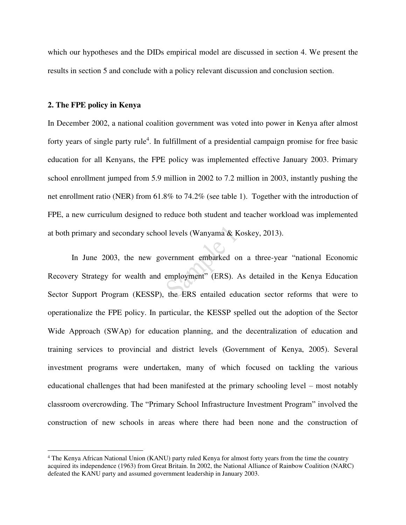which our hypotheses and the DIDs empirical model are discussed in section 4. We present the results in section 5 and conclude with a policy relevant discussion and conclusion section.

#### **2. The FPE policy in Kenya**

 $\overline{a}$ 

In December 2002, a national coalition government was voted into power in Kenya after almost forty years of single party rule<sup>4</sup>. In fulfillment of a presidential campaign promise for free basic education for all Kenyans, the FPE policy was implemented effective January 2003. Primary school enrollment jumped from 5.9 million in 2002 to 7.2 million in 2003, instantly pushing the net enrollment ratio (NER) from 61.8% to 74.2% (see table 1). Together with the introduction of FPE, a new curriculum designed to reduce both student and teacher workload was implemented at both primary and secondary school levels (Wanyama & Koskey, 2013).

In June 2003, the new government embarked on a three-year "national Economic Recovery Strategy for wealth and employment" (ERS). As detailed in the Kenya Education Sector Support Program (KESSP), the ERS entailed education sector reforms that were to operationalize the FPE policy. In particular, the KESSP spelled out the adoption of the Sector Wide Approach (SWAp) for education planning, and the decentralization of education and training services to provincial and district levels (Government of Kenya, 2005). Several investment programs were undertaken, many of which focused on tackling the various educational challenges that had been manifested at the primary schooling level – most notably classroom overcrowding. The "Primary School Infrastructure Investment Program" involved the construction of new schools in areas where there had been none and the construction of

<sup>4</sup> The Kenya African National Union (KANU) party ruled Kenya for almost forty years from the time the country acquired its independence (1963) from Great Britain. In 2002, the National Alliance of Rainbow Coalition (NARC) defeated the KANU party and assumed government leadership in January 2003.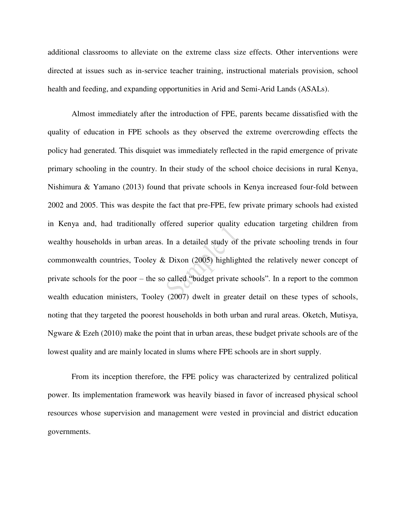additional classrooms to alleviate on the extreme class size effects. Other interventions were directed at issues such as in-service teacher training, instructional materials provision, school health and feeding, and expanding opportunities in Arid and Semi-Arid Lands (ASALs).

Almost immediately after the introduction of FPE, parents became dissatisfied with the quality of education in FPE schools as they observed the extreme overcrowding effects the policy had generated. This disquiet was immediately reflected in the rapid emergence of private primary schooling in the country. In their study of the school choice decisions in rural Kenya, Nishimura & Yamano (2013) found that private schools in Kenya increased four-fold between 2002 and 2005. This was despite the fact that pre-FPE, few private primary schools had existed in Kenya and, had traditionally offered superior quality education targeting children from wealthy households in urban areas. In a detailed study of the private schooling trends in four commonwealth countries, Tooley & Dixon (2005) highlighted the relatively newer concept of private schools for the poor – the so called "budget private schools". In a report to the common wealth education ministers, Tooley (2007) dwelt in greater detail on these types of schools, noting that they targeted the poorest households in both urban and rural areas. Oketch, Mutisya, Ngware & Ezeh (2010) make the point that in urban areas, these budget private schools are of the lowest quality and are mainly located in slums where FPE schools are in short supply.

From its inception therefore, the FPE policy was characterized by centralized political power. Its implementation framework was heavily biased in favor of increased physical school resources whose supervision and management were vested in provincial and district education governments.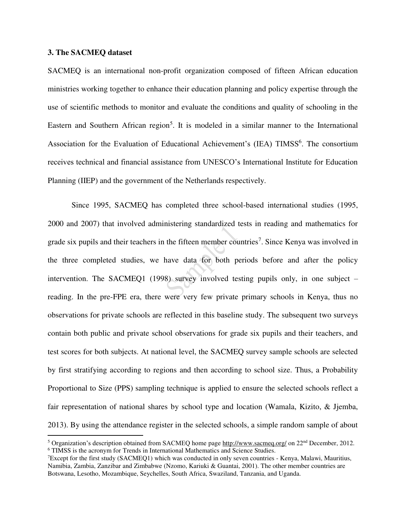#### **3. The SACMEQ dataset**

 $\overline{a}$ 

SACMEQ is an international non-profit organization composed of fifteen African education ministries working together to enhance their education planning and policy expertise through the use of scientific methods to monitor and evaluate the conditions and quality of schooling in the Eastern and Southern African region<sup>5</sup>. It is modeled in a similar manner to the International Association for the Evaluation of Educational Achievement's (IEA) TIMSS<sup>6</sup>. The consortium receives technical and financial assistance from UNESCO's International Institute for Education Planning (IIEP) and the government of the Netherlands respectively.

Since 1995, SACMEQ has completed three school-based international studies (1995, 2000 and 2007) that involved administering standardized tests in reading and mathematics for grade six pupils and their teachers in the fifteen member countries<sup>7</sup>. Since Kenya was involved in the three completed studies, we have data for both periods before and after the policy intervention. The SACMEQ1 (1998) survey involved testing pupils only, in one subject – reading. In the pre-FPE era, there were very few private primary schools in Kenya, thus no observations for private schools are reflected in this baseline study. The subsequent two surveys contain both public and private school observations for grade six pupils and their teachers, and test scores for both subjects. At national level, the SACMEQ survey sample schools are selected by first stratifying according to regions and then according to school size. Thus, a Probability Proportional to Size (PPS) sampling technique is applied to ensure the selected schools reflect a fair representation of national shares by school type and location (Wamala, Kizito, & Jjemba, 2013). By using the attendance register in the selected schools, a simple random sample of about

<sup>&</sup>lt;sup>5</sup> Organization's description obtained from SACMEO home page [http://www.sacmeq.org/ o](http://www.sacmeq.org/)n  $22<sup>nd</sup>$  December, 2012. 6 TIMSS is the acronym for Trends in International Mathematics and Science Studies.

<sup>7</sup>Except for the first study (SACMEQ1) which was conducted in only seven countries - Kenya, Malawi, Mauritius, Namibia, Zambia, Zanzibar and Zimbabwe (Nzomo, Kariuki & Guantai, 2001). The other member countries are Botswana, Lesotho, Mozambique, Seychelles, South Africa, Swaziland, Tanzania, and Uganda.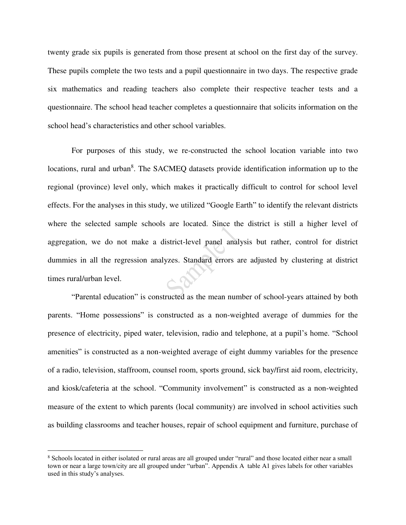twenty grade six pupils is generated from those present at school on the first day of the survey. These pupils complete the two tests and a pupil questionnaire in two days. The respective grade six mathematics and reading teachers also complete their respective teacher tests and a questionnaire. The school head teacher completes a questionnaire that solicits information on the school head's characteristics and other school variables.

For purposes of this study, we re-constructed the school location variable into two locations, rural and urban<sup>8</sup>. The SACMEQ datasets provide identification information up to the regional (province) level only, which makes it practically difficult to control for school level effects. For the analyses in this study, we utilized "Google Earth" to identify the relevant districts where the selected sample schools are located. Since the district is still a higher level of aggregation, we do not make a district-level panel analysis but rather, control for district dummies in all the regression analyzes. Standard errors are adjusted by clustering at district times rural/urban level.

"Parental education" is constructed as the mean number of school-years attained by both parents. "Home possessions" is constructed as a non-weighted average of dummies for the presence of electricity, piped water, television, radio and telephone, at a pupil's home. "School amenities" is constructed as a non-weighted average of eight dummy variables for the presence of a radio, television, staffroom, counsel room, sports ground, sick bay/first aid room, electricity, and kiosk/cafeteria at the school. "Community involvement" is constructed as a non-weighted measure of the extent to which parents (local community) are involved in school activities such as building classrooms and teacher houses, repair of school equipment and furniture, purchase of

 $\overline{a}$ 

<sup>8</sup> Schools located in either isolated or rural areas are all grouped under "rural" and those located either near a small town or near a large town/city are all grouped under "urban". Appendix A table A1 gives labels for other variables used in this study's analyses.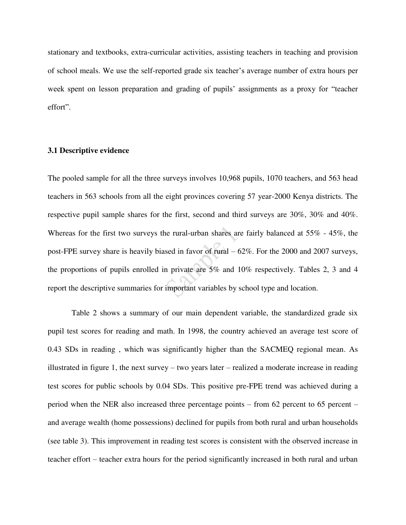stationary and textbooks, extra-curricular activities, assisting teachers in teaching and provision of school meals. We use the self-reported grade six teacher's average number of extra hours per week spent on lesson preparation and grading of pupils' assignments as a proxy for "teacher effort".

#### **3.1 Descriptive evidence**

The pooled sample for all the three surveys involves 10,968 pupils, 1070 teachers, and 563 head teachers in 563 schools from all the eight provinces covering 57 year-2000 Kenya districts. The respective pupil sample shares for the first, second and third surveys are 30%, 30% and 40%. Whereas for the first two surveys the rural-urban shares are fairly balanced at 55% - 45%, the post-FPE survey share is heavily biased in favor of rural – 62%. For the 2000 and 2007 surveys, the proportions of pupils enrolled in private are 5% and 10% respectively. Tables 2, 3 and 4 report the descriptive summaries for important variables by school type and location.

Table 2 shows a summary of our main dependent variable, the standardized grade six pupil test scores for reading and math. In 1998, the country achieved an average test score of 0.43 SDs in reading , which was significantly higher than the SACMEQ regional mean. As illustrated in figure 1, the next survey – two years later – realized a moderate increase in reading test scores for public schools by 0.04 SDs. This positive pre-FPE trend was achieved during a period when the NER also increased three percentage points – from 62 percent to 65 percent – and average wealth (home possessions) declined for pupils from both rural and urban households (see table 3). This improvement in reading test scores is consistent with the observed increase in teacher effort – teacher extra hours for the period significantly increased in both rural and urban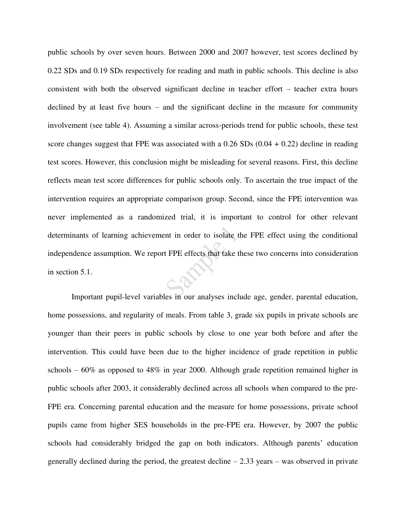public schools by over seven hours. Between 2000 and 2007 however, test scores declined by 0.22 SDs and 0.19 SDs respectively for reading and math in public schools. This decline is also consistent with both the observed significant decline in teacher effort – teacher extra hours declined by at least five hours – and the significant decline in the measure for community involvement (see table 4). Assuming a similar across-periods trend for public schools, these test score changes suggest that FPE was associated with a  $0.26$  SDs  $(0.04 + 0.22)$  decline in reading test scores. However, this conclusion might be misleading for several reasons. First, this decline reflects mean test score differences for public schools only. To ascertain the true impact of the intervention requires an appropriate comparison group. Second, since the FPE intervention was never implemented as a randomized trial, it is important to control for other relevant determinants of learning achievement in order to isolate the FPE effect using the conditional independence assumption. We report FPE effects that take these two concerns into consideration in section 5.1.

Important pupil-level variables in our analyses include age, gender, parental education, home possessions, and regularity of meals. From table 3, grade six pupils in private schools are younger than their peers in public schools by close to one year both before and after the intervention. This could have been due to the higher incidence of grade repetition in public schools –  $60\%$  as opposed to  $48\%$  in year 2000. Although grade repetition remained higher in public schools after 2003, it considerably declined across all schools when compared to the pre-FPE era. Concerning parental education and the measure for home possessions, private school pupils came from higher SES households in the pre-FPE era. However, by 2007 the public schools had considerably bridged the gap on both indicators. Although parents' education generally declined during the period, the greatest decline  $-2.33$  years – was observed in private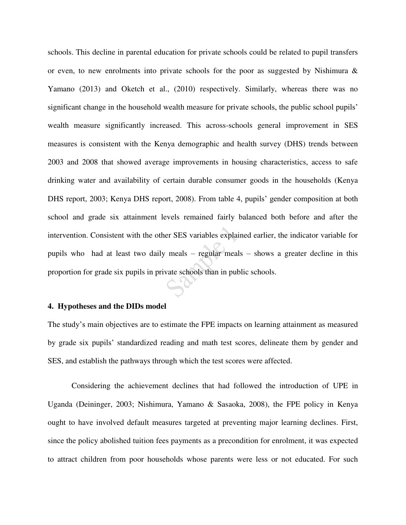schools. This decline in parental education for private schools could be related to pupil transfers or even, to new enrolments into private schools for the poor as suggested by Nishimura  $\&$ Yamano (2013) and Oketch et al., (2010) respectively. Similarly, whereas there was no significant change in the household wealth measure for private schools, the public school pupils' wealth measure significantly increased. This across-schools general improvement in SES measures is consistent with the Kenya demographic and health survey (DHS) trends between 2003 and 2008 that showed average improvements in housing characteristics, access to safe drinking water and availability of certain durable consumer goods in the households (Kenya DHS report, 2003; Kenya DHS report, 2008). From table 4, pupils' gender composition at both school and grade six attainment levels remained fairly balanced both before and after the intervention. Consistent with the other SES variables explained earlier, the indicator variable for pupils who had at least two daily meals – regular meals – shows a greater decline in this proportion for grade six pupils in private schools than in public schools.

#### **4. Hypotheses and the DIDs model**

The study's main objectives are to estimate the FPE impacts on learning attainment as measured by grade six pupils' standardized reading and math test scores, delineate them by gender and SES, and establish the pathways through which the test scores were affected.

Considering the achievement declines that had followed the introduction of UPE in Uganda (Deininger, 2003; Nishimura, Yamano & Sasaoka, 2008), the FPE policy in Kenya ought to have involved default measures targeted at preventing major learning declines. First, since the policy abolished tuition fees payments as a precondition for enrolment, it was expected to attract children from poor households whose parents were less or not educated. For such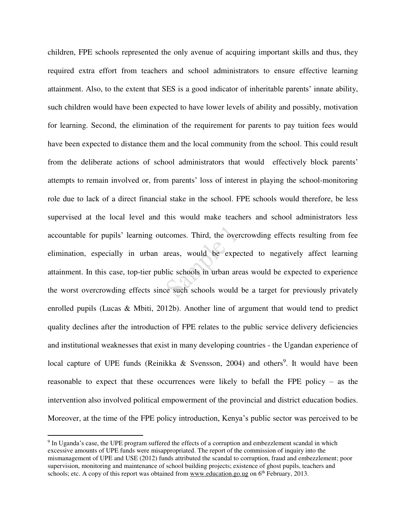children, FPE schools represented the only avenue of acquiring important skills and thus, they required extra effort from teachers and school administrators to ensure effective learning attainment. Also, to the extent that SES is a good indicator of inheritable parents' innate ability, such children would have been expected to have lower levels of ability and possibly, motivation for learning. Second, the elimination of the requirement for parents to pay tuition fees would have been expected to distance them and the local community from the school. This could result from the deliberate actions of school administrators that would effectively block parents' attempts to remain involved or, from parents' loss of interest in playing the school-monitoring role due to lack of a direct financial stake in the school. FPE schools would therefore, be less supervised at the local level and this would make teachers and school administrators less accountable for pupils' learning outcomes. Third, the overcrowding effects resulting from fee elimination, especially in urban areas, would be expected to negatively affect learning attainment. In this case, top-tier public schools in urban areas would be expected to experience the worst overcrowding effects since such schools would be a target for previously privately enrolled pupils (Lucas & Mbiti, 2012b). Another line of argument that would tend to predict quality declines after the introduction of FPE relates to the public service delivery deficiencies and institutional weaknesses that exist in many developing countries - the Ugandan experience of local capture of UPE funds (Reinikka & Svensson, 2004) and others<sup>9</sup>. It would have been reasonable to expect that these occurrences were likely to befall the FPE policy – as the intervention also involved political empowerment of the provincial and district education bodies. Moreover, at the time of the FPE policy introduction, Kenya's public sector was perceived to be

 $\overline{a}$ 

<sup>&</sup>lt;sup>9</sup> In Uganda's case, the UPE program suffered the effects of a corruption and embezzlement scandal in which excessive amounts of UPE funds were misappropriated. The report of the commission of inquiry into the mismanagement of UPE and USE (2012) funds attributed the scandal to corruption, fraud and embezzlement; poor supervision, monitoring and maintenance of school building projects; existence of ghost pupils, teachers and schools; etc. A copy of this report was obtained fro[m www.education.go.ug](http://www.education.go.ug/) on 6<sup>th</sup> February, 2013.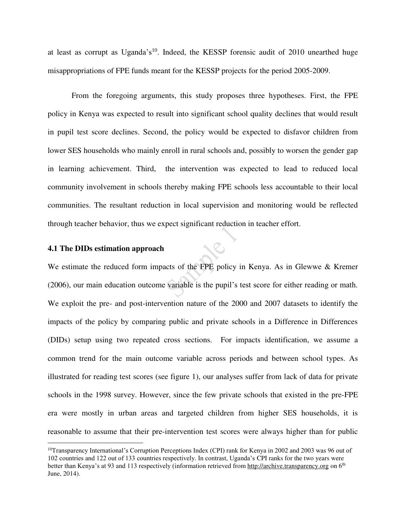at least as corrupt as Uganda's<sup>10</sup>. Indeed, the KESSP forensic audit of 2010 unearthed huge misappropriations of FPE funds meant for the KESSP projects for the period 2005-2009.

From the foregoing arguments, this study proposes three hypotheses. First, the FPE policy in Kenya was expected to result into significant school quality declines that would result in pupil test score declines. Second, the policy would be expected to disfavor children from lower SES households who mainly enroll in rural schools and, possibly to worsen the gender gap in learning achievement. Third, the intervention was expected to lead to reduced local community involvement in schools thereby making FPE schools less accountable to their local communities. The resultant reduction in local supervision and monitoring would be reflected through teacher behavior, thus we expect significant reduction in teacher effort.

 $\mathcal{C}$ 

#### **4.1 The DIDs estimation approach**

 $\overline{a}$ 

We estimate the reduced form impacts of the FPE policy in Kenya. As in Glewwe & Kremer (2006), our main education outcome variable is the pupil's test score for either reading or math. We exploit the pre- and post-intervention nature of the 2000 and 2007 datasets to identify the impacts of the policy by comparing public and private schools in a Difference in Differences (DIDs) setup using two repeated cross sections. For impacts identification, we assume a common trend for the main outcome variable across periods and between school types. As illustrated for reading test scores (see figure 1), our analyses suffer from lack of data for private schools in the 1998 survey. However, since the few private schools that existed in the pre-FPE era were mostly in urban areas and targeted children from higher SES households, it is reasonable to assume that their pre-intervention test scores were always higher than for public

<sup>&</sup>lt;sup>10</sup>Transparency International's Corruption Perceptions Index (CPI) rank for Kenya in 2002 and 2003 was 96 out of 102 countries and 122 out of 133 countries respectively. In contrast, Uganda's CPI ranks for the two years were better than Kenya's at 93 and 113 respectively (information retrieved from [http://archive.transparency.org](http://archive.transparency.org/) on 6<sup>th</sup> June, 2014).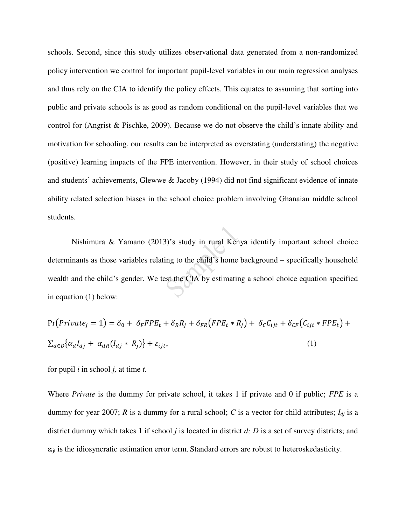schools. Second, since this study utilizes observational data generated from a non-randomized policy intervention we control for important pupil-level variables in our main regression analyses and thus rely on the CIA to identify the policy effects. This equates to assuming that sorting into public and private schools is as good as random conditional on the pupil-level variables that we control for (Angrist & Pischke, 2009). Because we do not observe the child's innate ability and motivation for schooling, our results can be interpreted as overstating (understating) the negative (positive) learning impacts of the FPE intervention. However, in their study of school choices and students' achievements, Glewwe & Jacoby (1994) did not find significant evidence of innate ability related selection biases in the school choice problem involving Ghanaian middle school students.

Nishimura & Yamano (2013)'s study in rural Kenya identify important school choice determinants as those variables relating to the child's home background – specifically household wealth and the child's gender. We test the CIA by estimating a school choice equation specified in equation (1) below:

$$
Pr(Private_j = 1) = \delta_0 + \delta_F FPE_t + \delta_R R_j + \delta_{FR}(FPE_t * R_j) + \delta_C C_{ijt} + \delta_{CF}(C_{ijt} * FPE_t) + \sum_{d \in D} \{\alpha_d I_{dj} + \alpha_{dR}(I_{dj} * R_j)\} + \varepsilon_{ijt},
$$
\n(1)

for pupil *i* in school *j,* at time *t.*

Where *Private* is the dummy for private school, it takes 1 if private and 0 if public; *FPE* is a dummy for year 2007; *R* is a dummy for a rural school; *C* is a vector for child attributes; *Idj* is a district dummy which takes 1 if school *j* is located in district *d; D* is a set of survey districts; and εijt is the idiosyncratic estimation error term. Standard errors are robust to heteroskedasticity.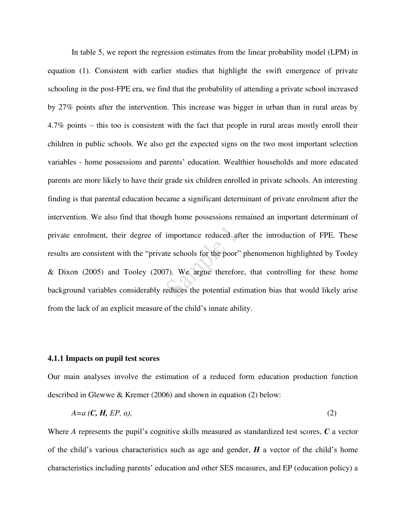In table 5, we report the regression estimates from the linear probability model (LPM) in equation (1). Consistent with earlier studies that highlight the swift emergence of private schooling in the post-FPE era, we find that the probability of attending a private school increased by 27% points after the intervention. This increase was bigger in urban than in rural areas by 4.7% points – this too is consistent with the fact that people in rural areas mostly enroll their children in public schools. We also get the expected signs on the two most important selection variables - home possessions and parents' education. Wealthier households and more educated parents are more likely to have their grade six children enrolled in private schools. An interesting finding is that parental education became a significant determinant of private enrolment after the intervention. We also find that though home possessions remained an important determinant of private enrolment, their degree of importance reduced after the introduction of FPE. These results are consistent with the "private schools for the poor" phenomenon highlighted by Tooley & Dixon (2005) and Tooley (2007). We argue therefore, that controlling for these home background variables considerably reduces the potential estimation bias that would likely arise from the lack of an explicit measure of the child's innate ability.

#### **4.1.1 Impacts on pupil test scores**

Our main analyses involve the estimation of a reduced form education production function described in Glewwe & Kremer (2006) and shown in equation (2) below:

$$
A=a\left(\mathbf{C},\mathbf{H},EP,\alpha\right),\tag{2}
$$

Where *A* represents the pupil's cognitive skills measured as standardized test scores, *C* a vector of the child's various characteristics such as age and gender, *H* a vector of the child's home characteristics including parents' education and other SES measures, and EP (education policy) a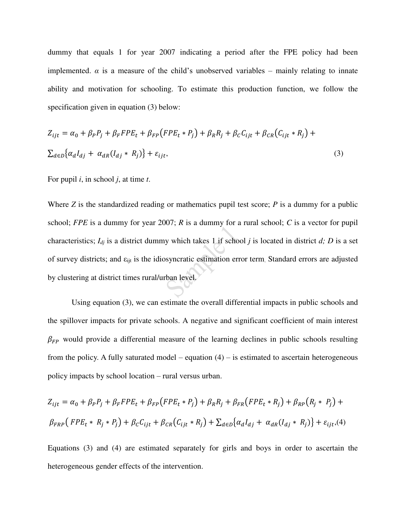dummy that equals 1 for year 2007 indicating a period after the FPE policy had been implemented.  $\alpha$  is a measure of the child's unobserved variables – mainly relating to innate ability and motivation for schooling. To estimate this production function, we follow the specification given in equation (3) below:

$$
Z_{ijt} = \alpha_0 + \beta_P P_j + \beta_F F P E_t + \beta_{FP} (F P E_t * P_j) + \beta_R R_j + \beta_C C_{ijt} + \beta_{CR} (C_{ijt} * R_j) +
$$
  

$$
\sum_{d \in D} {\alpha_d I_{dj} + \alpha_{dR} (I_{dj} * R_j)} + \varepsilon_{ijt},
$$
 (3)

For pupil *i*, in school *j*, at time *t*.

Where *Z* is the standardized reading or mathematics pupil test score; *P* is a dummy for a public school; *FPE* is a dummy for year 2007; *R* is a dummy for a rural school; *C* is a vector for pupil characteristics;  $I_{di}$  is a district dummy which takes 1 if school *j* is located in district *d*; *D* is a set of survey districts; and εijt is the idiosyncratic estimation error term. Standard errors are adjusted by clustering at district times rural/urban level.

Using equation (3), we can estimate the overall differential impacts in public schools and the spillover impacts for private schools. A negative and significant coefficient of main interest  $\beta_{FP}$  would provide a differential measure of the learning declines in public schools resulting from the policy. A fully saturated model – equation  $(4)$  – is estimated to ascertain heterogeneous policy impacts by school location – rural versus urban.

$$
Z_{ijt} = \alpha_0 + \beta_P P_j + \beta_F FPE_t + \beta_{FP} (FPE_t * P_j) + \beta_R R_j + \beta_{FR} (FPE_t * R_j) + \beta_{RP} (R_j * P_j) +
$$
  

$$
\beta_{FRP} (FPE_t * R_j * P_j) + \beta_C C_{ijt} + \beta_{CR} (C_{ijt} * R_j) + \sum_{d \in D} {\alpha_d I_{dj}} + \alpha_{dR} (I_{dj} * R_j) + \varepsilon_{ijt}, (4)
$$

Equations (3) and (4) are estimated separately for girls and boys in order to ascertain the heterogeneous gender effects of the intervention.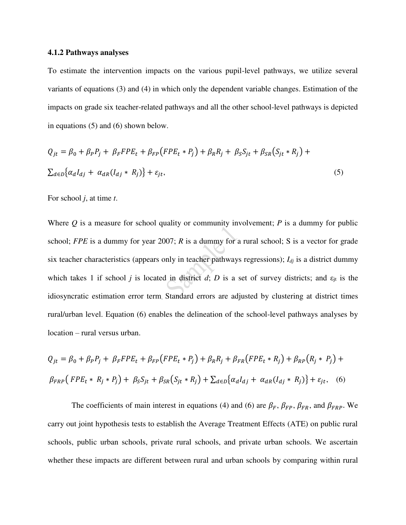#### **4.1.2 Pathways analyses**

To estimate the intervention impacts on the various pupil-level pathways, we utilize several variants of equations (3) and (4) in which only the dependent variable changes. Estimation of the impacts on grade six teacher-related pathways and all the other school-level pathways is depicted in equations (5) and (6) shown below.

$$
Q_{jt} = \beta_0 + \beta_P P_j + \beta_F F P E_t + \beta_{FP} (F P E_t * P_j) + \beta_R R_j + \beta_S S_{jt} + \beta_{SR} (S_{jt} * R_j) +
$$
  

$$
\sum_{d \in D} {\alpha_d I_{dj} + \alpha_{dR} (I_{dj} * R_j)} + \varepsilon_{jt},
$$
 (5)

For school *j*, at time *t*.

Where *Q* is a measure for school quality or community involvement; *P* is a dummy for public school; *FPE* is a dummy for year 2007; *R* is a dummy for a rural school; S is a vector for grade six teacher characteristics (appears only in teacher pathways regressions); *Idj* is a district dummy which takes 1 if school *j* is located in district *d*; *D* is a set of survey districts; and  $\varepsilon_{it}$  is the idiosyncratic estimation error term. Standard errors are adjusted by clustering at district times rural/urban level. Equation (6) enables the delineation of the school-level pathways analyses by location – rural versus urban.

$$
Q_{jt} = \beta_0 + \beta_P P_j + \beta_F FPE_t + \beta_{FP} (FPE_t * P_j) + \beta_R R_j + \beta_{FR} (FPE_t * R_j) + \beta_{RP} (R_j * P_j) +
$$
  

$$
\beta_{FRP} (FPE_t * R_j * P_j) + \beta_S S_{jt} + \beta_{SR} (S_{jt} * R_j) + \sum_{d \in D} {\alpha_d I_{dj} + \alpha_{dR} (I_{dj} * R_j)} + \varepsilon_{jt}, \quad (6)
$$

The coefficients of main interest in equations (4) and (6) are  $\beta_F$ ,  $\beta_{FP}$ ,  $\beta_{FR}$ , and  $\beta_{FRP}$ . We carry out joint hypothesis tests to establish the Average Treatment Effects (ATE) on public rural schools, public urban schools, private rural schools, and private urban schools. We ascertain whether these impacts are different between rural and urban schools by comparing within rural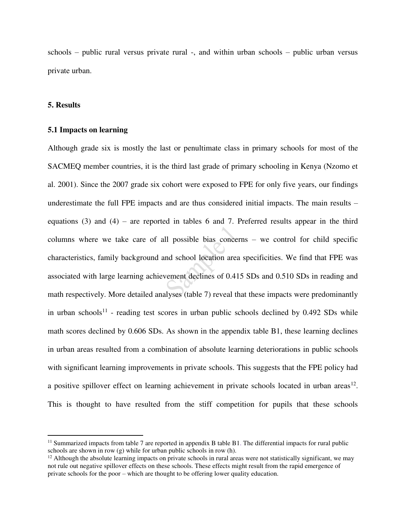schools – public rural versus private rural -, and within urban schools – public urban versus private urban.

#### **5. Results**

 $\overline{a}$ 

#### **5.1 Impacts on learning**

Although grade six is mostly the last or penultimate class in primary schools for most of the SACMEQ member countries, it is the third last grade of primary schooling in Kenya (Nzomo et al. 2001). Since the 2007 grade six cohort were exposed to FPE for only five years, our findings underestimate the full FPE impacts and are thus considered initial impacts. The main results – equations (3) and (4) – are reported in tables 6 and 7. Preferred results appear in the third columns where we take care of all possible bias concerns – we control for child specific characteristics, family background and school location area specificities. We find that FPE was associated with large learning achievement declines of 0.415 SDs and 0.510 SDs in reading and math respectively. More detailed analyses (table 7) reveal that these impacts were predominantly in urban schools<sup>11</sup> - reading test scores in urban public schools declined by  $0.492$  SDs while math scores declined by 0.606 SDs. As shown in the appendix table B1, these learning declines in urban areas resulted from a combination of absolute learning deteriorations in public schools with significant learning improvements in private schools. This suggests that the FPE policy had a positive spillover effect on learning achievement in private schools located in urban areas $^{12}$ . This is thought to have resulted from the stiff competition for pupils that these schools

<sup>&</sup>lt;sup>11</sup> Summarized impacts from table 7 are reported in appendix B table B1. The differential impacts for rural public schools are shown in row (g) while for urban public schools in row (h).

 $12$  Although the absolute learning impacts on private schools in rural areas were not statistically significant, we may not rule out negative spillover effects on these schools. These effects might result from the rapid emergence of private schools for the poor – which are thought to be offering lower quality education.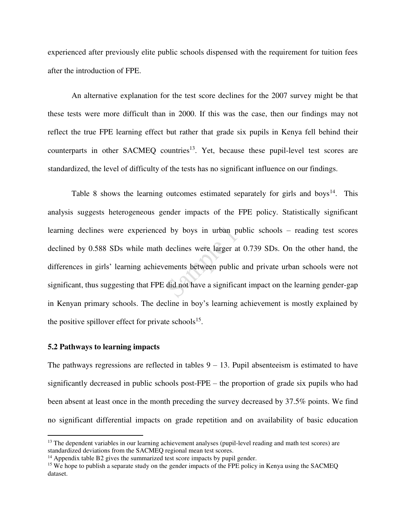experienced after previously elite public schools dispensed with the requirement for tuition fees after the introduction of FPE.

An alternative explanation for the test score declines for the 2007 survey might be that these tests were more difficult than in 2000. If this was the case, then our findings may not reflect the true FPE learning effect but rather that grade six pupils in Kenya fell behind their counterparts in other SACMEQ countries<sup>13</sup>. Yet, because these pupil-level test scores are standardized, the level of difficulty of the tests has no significant influence on our findings.

Table 8 shows the learning outcomes estimated separately for girls and boys<sup>14</sup>. This analysis suggests heterogeneous gender impacts of the FPE policy. Statistically significant learning declines were experienced by boys in urban public schools – reading test scores declined by 0.588 SDs while math declines were larger at 0.739 SDs. On the other hand, the differences in girls' learning achievements between public and private urban schools were not significant, thus suggesting that FPE did not have a significant impact on the learning gender-gap in Kenyan primary schools. The decline in boy's learning achievement is mostly explained by the positive spillover effect for private schools<sup>15</sup>.

#### **5.2 Pathways to learning impacts**

 $\overline{a}$ 

The pathways regressions are reflected in tables  $9 - 13$ . Pupil absenteeism is estimated to have significantly decreased in public schools post-FPE – the proportion of grade six pupils who had been absent at least once in the month preceding the survey decreased by 37.5% points. We find no significant differential impacts on grade repetition and on availability of basic education

<sup>&</sup>lt;sup>13</sup> The dependent variables in our learning achievement analyses (pupil-level reading and math test scores) are standardized deviations from the SACMEQ regional mean test scores.

<sup>&</sup>lt;sup>14</sup> Appendix table B2 gives the summarized test score impacts by pupil gender.

<sup>&</sup>lt;sup>15</sup> We hope to publish a separate study on the gender impacts of the FPE policy in Kenya using the SACMEO dataset.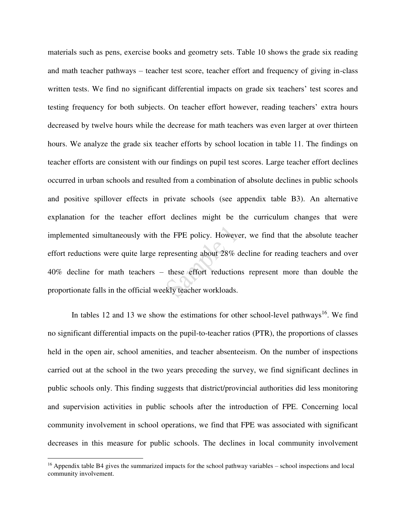materials such as pens, exercise books and geometry sets. Table 10 shows the grade six reading and math teacher pathways – teacher test score, teacher effort and frequency of giving in-class written tests. We find no significant differential impacts on grade six teachers' test scores and testing frequency for both subjects. On teacher effort however, reading teachers' extra hours decreased by twelve hours while the decrease for math teachers was even larger at over thirteen hours. We analyze the grade six teacher efforts by school location in table 11. The findings on teacher efforts are consistent with our findings on pupil test scores. Large teacher effort declines occurred in urban schools and resulted from a combination of absolute declines in public schools and positive spillover effects in private schools (see appendix table B3). An alternative explanation for the teacher effort declines might be the curriculum changes that were implemented simultaneously with the FPE policy. However, we find that the absolute teacher effort reductions were quite large representing about 28% decline for reading teachers and over 40% decline for math teachers – these effort reductions represent more than double the proportionate falls in the official weekly teacher workloads.

In tables 12 and 13 we show the estimations for other school-level pathways<sup>16</sup>. We find no significant differential impacts on the pupil-to-teacher ratios (PTR), the proportions of classes held in the open air, school amenities, and teacher absenteeism. On the number of inspections carried out at the school in the two years preceding the survey, we find significant declines in public schools only. This finding suggests that district/provincial authorities did less monitoring and supervision activities in public schools after the introduction of FPE. Concerning local community involvement in school operations, we find that FPE was associated with significant decreases in this measure for public schools. The declines in local community involvement

 $\overline{a}$ 

 $16$  Appendix table B4 gives the summarized impacts for the school pathway variables – school inspections and local community involvement.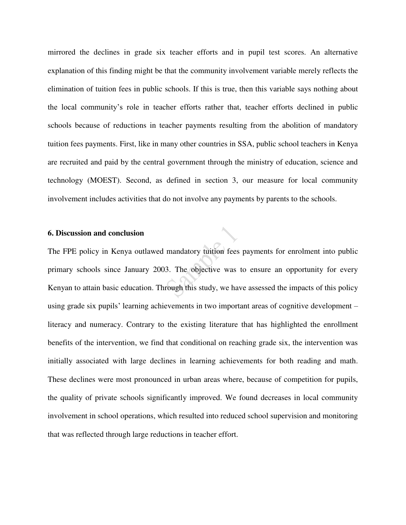mirrored the declines in grade six teacher efforts and in pupil test scores. An alternative explanation of this finding might be that the community involvement variable merely reflects the elimination of tuition fees in public schools. If this is true, then this variable says nothing about the local community's role in teacher efforts rather that, teacher efforts declined in public schools because of reductions in teacher payments resulting from the abolition of mandatory tuition fees payments. First, like in many other countries in SSA, public school teachers in Kenya are recruited and paid by the central government through the ministry of education, science and technology (MOEST). Second, as defined in section 3, our measure for local community involvement includes activities that do not involve any payments by parents to the schools.

#### **6. Discussion and conclusion**

The FPE policy in Kenya outlawed mandatory tuition fees payments for enrolment into public primary schools since January 2003. The objective was to ensure an opportunity for every Kenyan to attain basic education. Through this study, we have assessed the impacts of this policy using grade six pupils' learning achievements in two important areas of cognitive development – literacy and numeracy. Contrary to the existing literature that has highlighted the enrollment benefits of the intervention, we find that conditional on reaching grade six, the intervention was initially associated with large declines in learning achievements for both reading and math. These declines were most pronounced in urban areas where, because of competition for pupils, the quality of private schools significantly improved. We found decreases in local community involvement in school operations, which resulted into reduced school supervision and monitoring that was reflected through large reductions in teacher effort.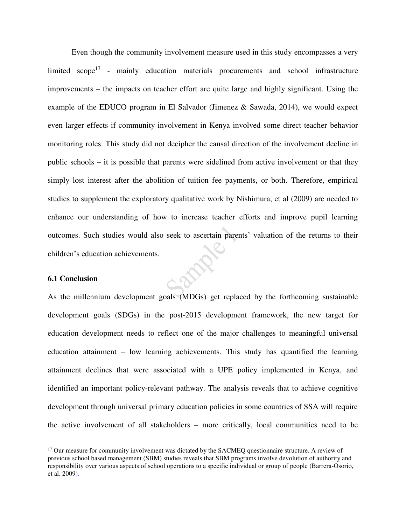Even though the community involvement measure used in this study encompasses a very limited  $\text{scope}^{17}$  - mainly education materials procurements and school infrastructure improvements – the impacts on teacher effort are quite large and highly significant. Using the example of the EDUCO program in El Salvador (Jimenez  $\&$  Sawada, 2014), we would expect even larger effects if community involvement in Kenya involved some direct teacher behavior monitoring roles. This study did not decipher the causal direction of the involvement decline in public schools – it is possible that parents were sidelined from active involvement or that they simply lost interest after the abolition of tuition fee payments, or both. Therefore, empirical studies to supplement the exploratory qualitative work by Nishimura, et al (2009) are needed to enhance our understanding of how to increase teacher efforts and improve pupil learning outcomes. Such studies would also seek to ascertain parents' valuation of the returns to their children's education achievements.

#### **6.1 Conclusion**

 $\overline{a}$ 

As the millennium development goals (MDGs) get replaced by the forthcoming sustainable development goals (SDGs) in the post-2015 development framework, the new target for education development needs to reflect one of the major challenges to meaningful universal education attainment – low learning achievements. This study has quantified the learning attainment declines that were associated with a UPE policy implemented in Kenya, and identified an important policy-relevant pathway. The analysis reveals that to achieve cognitive development through universal primary education policies in some countries of SSA will require the active involvement of all stakeholders – more critically, local communities need to be

<sup>&</sup>lt;sup>17</sup> Our measure for community involvement was dictated by the SACMEQ questionnaire structure. A review of previous school based management (SBM) studies reveals that SBM programs involve devolution of authority and responsibility over various aspects of school operations to a specific individual or group of people (Barrera-Osorio, et al. 2009).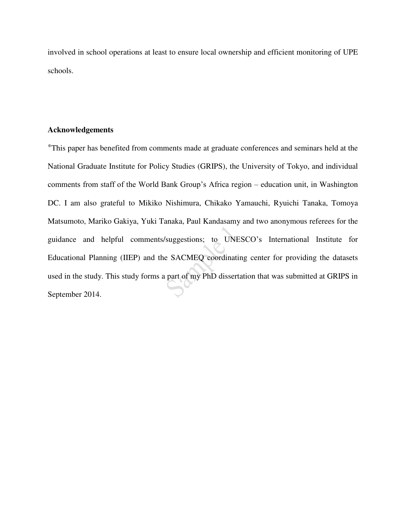involved in school operations at least to ensure local ownership and efficient monitoring of UPE schools.

#### **Acknowledgements**

This paper has benefited from comments made at graduate conferences and seminars held at the National Graduate Institute for Policy Studies (GRIPS), the University of Tokyo, and individual comments from staff of the World Bank Group's Africa region – education unit, in Washington DC. I am also grateful to Mikiko Nishimura, Chikako Yamauchi, Ryuichi Tanaka, Tomoya Matsumoto, Mariko Gakiya, Yuki Tanaka, Paul Kandasamy and two anonymous referees for the guidance and helpful comments/suggestions; to UNESCO's International Institute for Educational Planning (IIEP) and the SACMEQ coordinating center for providing the datasets used in the study. This study forms a part of my PhD dissertation that was submitted at GRIPS in September 2014.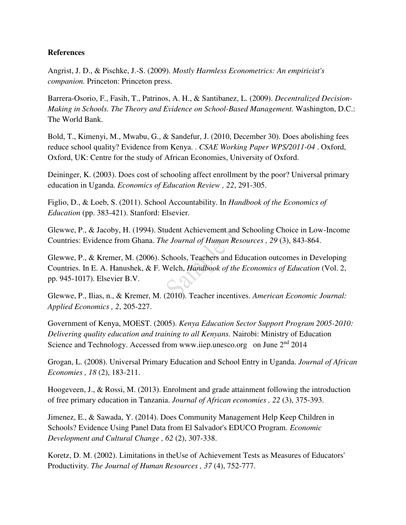### **References**

Angrist, J. D., & Pischke, J.-S. (2009). *Mostly Harmless Econometrics: An empiricist's companion.* Princeton: Princeton press.

Barrera-Osorio, F., Fasih, T., Patrinos, A. H., & Santibanez, L. (2009). *Decentralized Decision-Making in Schools. The Theory and Evidence on School-Based Management.* Washington, D.C.: The World Bank.

Bold, T., Kimenyi, M., Mwabu, G., & Sandefur, J. (2010, December 30). Does abolishing fees reduce school quality? Evidence from Kenya. . *CSAE Working Paper WPS/2011-04* . Oxford, Oxford, UK: Centre for the study of African Economies, University of Oxford.

Deininger, K. (2003). Does cost of schooling affect enrollment by the poor? Universal primary education in Uganda. *Economics of Education Review , 22*, 291-305.

Figlio, D., & Loeb, S. (2011). School Accountability. In *Handbook of the Economics of Education* (pp. 383-421). Stanford: Elsevier.

Glewwe, P., & Jacoby, H. (1994). Student Achievement and Schooling Choice in Low-Income Countries: Evidence from Ghana. *The Journal of Human Resources , 29* (3), 843-864.

Glewwe, P., & Kremer, M. (2006). Schools, Teachers and Education outcomes in Developing Countries. In E. A. Hanushek, & F. Welch, *Handbook of the Economics of Education* (Vol. 2, pp. 945-1017). Elsevier B.V.

Glewwe, P., Ilias, n., & Kremer, M. (2010). Teacher incentives. *American Economic Journal: Applied Economics , 2*, 205-227.

Government of Kenya, MOEST. (2005). *Kenya Education Sector Support Program 2005-2010: Delivering quality education and training to all Kenyans.* Nairobi: Ministry of Education Science and Technology. Accessed from www.iiep.unesco.org on June 2<sup>nd</sup> 2014

Grogan, L. (2008). Universal Primary Education and School Entry in Uganda. *Journal of African Economies , 18* (2), 183-211.

Hoogeveen, J., & Rossi, M. (2013). Enrolment and grade attainment following the introduction of free primary education in Tanzania. *Journal of African economies , 22* (3), 375-393.

Jimenez, E., & Sawada, Y. (2014). Does Community Management Help Keep Children in Schools? Evidence Using Panel Data from El Salvador's EDUCO Program. *Economic Development and Cultural Change , 62* (2), 307-338.

Koretz, D. M. (2002). Limitations in theUse of Achievement Tests as Measures of Educators' Productivity. *The Journal of Human Resources , 37* (4), 752-777.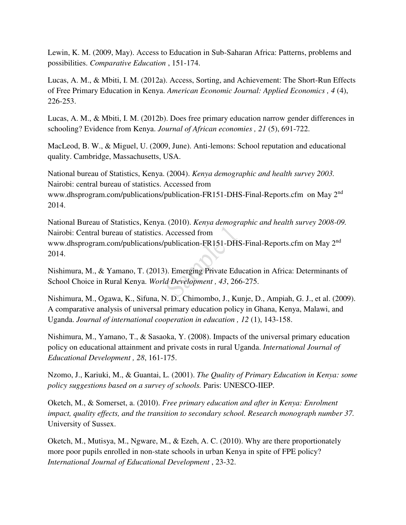Lewin, K. M. (2009, May). Access to Education in Sub-Saharan Africa: Patterns, problems and possibilities. *Comparative Education* , 151-174.

Lucas, A. M., & Mbiti, I. M. (2012a). Access, Sorting, and Achievement: The Short-Run Effects of Free Primary Education in Kenya. *American Economic Journal: Applied Economics , 4* (4), 226-253.

Lucas, A. M., & Mbiti, I. M. (2012b). Does free primary education narrow gender differences in schooling? Evidence from Kenya. *Journal of African economies , 21* (5), 691-722.

MacLeod, B. W., & Miguel, U. (2009, June). Anti-lemons: School reputation and educational quality. Cambridge, Massachusetts, USA.

National bureau of Statistics, Kenya. (2004). *Kenya demographic and health survey 2003.* Nairobi: central bureau of statistics. Accessed from www.dhsprogram.com/publications/publication-FR151-DHS-Final-Reports.cfm on May 2<sup>nd</sup> 2014.

National Bureau of Statistics, Kenya. (2010). *Kenya demographic and health survey 2008-09.* Nairobi: Central bureau of statistics. Accessed from www.dhsprogram.com/publications/publication-FR151-DHS-Final-Reports.cfm on May 2nd 2014.

Nishimura, M., & Yamano, T. (2013). Emerging Private Education in Africa: Determinants of School Choice in Rural Kenya. *World Development , 43*, 266-275.

Nishimura, M., Ogawa, K., Sifuna, N. D., Chimombo, J., Kunje, D., Ampiah, G. J., et al. (2009). A comparative analysis of universal primary education policy in Ghana, Kenya, Malawi, and Uganda. *Journal of international cooperation in education , 12* (1), 143-158.

Nishimura, M., Yamano, T., & Sasaoka, Y. (2008). Impacts of the universal primary education policy on educational attainment and private costs in rural Uganda. *International Journal of Educational Development , 28*, 161-175.

Nzomo, J., Kariuki, M., & Guantai, L. (2001). *The Quality of Primary Education in Kenya: some policy suggestions based on a survey of schools.* Paris: UNESCO-IIEP.

Oketch, M., & Somerset, a. (2010). *Free primary education and after in Kenya: Enrolment impact, quality effects, and the transition to secondary school. Research monograph number 37.* University of Sussex.

Oketch, M., Mutisya, M., Ngware, M., & Ezeh, A. C. (2010). Why are there proportionately more poor pupils enrolled in non-state schools in urban Kenya in spite of FPE policy? *International Journal of Educational Development* , 23-32.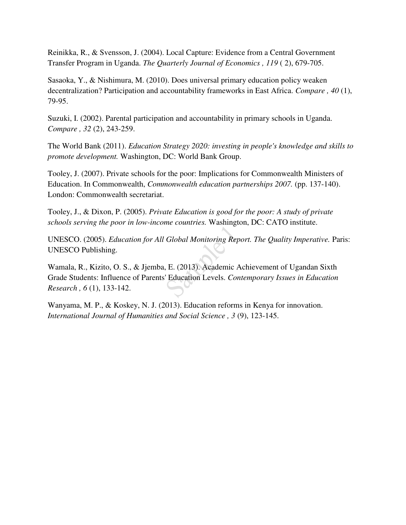Reinikka, R., & Svensson, J. (2004). Local Capture: Evidence from a Central Government Transfer Program in Uganda. *The Quarterly Journal of Economics , 119* ( 2), 679-705.

Sasaoka, Y., & Nishimura, M. (2010). Does universal primary education policy weaken decentralization? Participation and accountability frameworks in East Africa. *Compare , 40* (1), 79-95.

Suzuki, I. (2002). Parental participation and accountability in primary schools in Uganda. *Compare , 32* (2), 243-259.

The World Bank (2011). *Education Strategy 2020: investing in people's knowledge and skills to promote development.* Washington, DC: World Bank Group.

Tooley, J. (2007). Private schools for the poor: Implications for Commonwealth Ministers of Education. In Commonwealth, *Commonwealth education partnerships 2007.* (pp. 137-140). London: Commonwealth secretariat.

Tooley, J., & Dixon, P. (2005). *Private Education is good for the poor: A study of private schools serving the poor in low-income countries.* Washington, DC: CATO institute.

UNESCO. (2005). *Education for All Global Monitoring Report. The Quality Imperative.* Paris: UNESCO Publishing.

Wamala, R., Kizito, O. S., & Jjemba, E. (2013). Academic Achievement of Ugandan Sixth Grade Students: Influence of Parents' Education Levels. *Contemporary Issues in Education Research , 6* (1), 133-142.

Wanyama, M. P., & Koskey, N. J. (2013). Education reforms in Kenya for innovation. *International Journal of Humanities and Social Science , 3* (9), 123-145.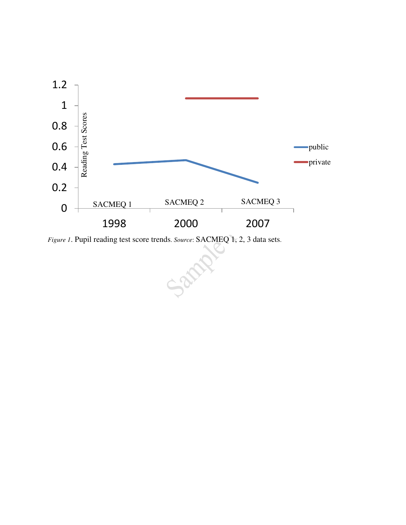

Sant

*Figure 1*. Pupil reading test score trends. *Source*: SACMEQ 1, 2, 3 data sets.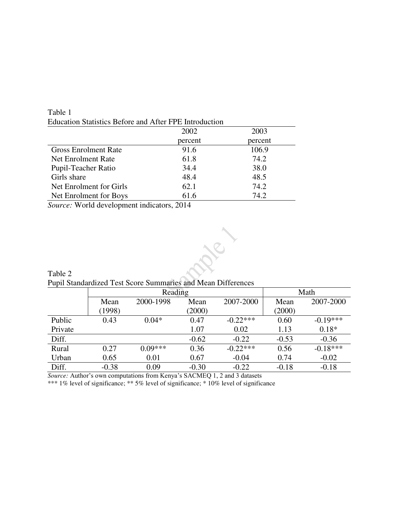|                             | 2002    | 2003    |
|-----------------------------|---------|---------|
|                             | percent | percent |
| <b>Gross Enrolment Rate</b> | 91.6    | 106.9   |
| Net Enrolment Rate          | 61.8    | 74.2    |
| Pupil-Teacher Ratio         | 34.4    | 38.0    |
| Girls share                 | 48.4    | 48.5    |
| Net Enrolment for Girls     | 62.1    | 74.2    |
| Net Enrolment for Boys      | 61.6    | 74.2    |

Table 1 Education Statistics Before and After FPE Introduction

*Source:* World development indicators, 2014

Table 2



Pupil Standardized Test Score Summaries and Mean Differences

|         |         | Reading   |         | Math       |         |            |
|---------|---------|-----------|---------|------------|---------|------------|
|         | Mean    | 2000-1998 | Mean    | 2007-2000  | Mean    | 2007-2000  |
|         | (1998)  |           | (2000)  |            | (2000)  |            |
| Public  | 0.43    | $0.04*$   | 0.47    | $-0.22***$ | 0.60    | $-0.19***$ |
| Private |         |           | 1.07    | 0.02       | 1.13    | $0.18*$    |
| Diff.   |         |           | $-0.62$ | $-0.22$    | $-0.53$ | $-0.36$    |
| Rural   | 0.27    | $0.09***$ | 0.36    | $-0.22***$ | 0.56    | $-0.18***$ |
| Urban   | 0.65    | 0.01      | 0.67    | $-0.04$    | 0.74    | $-0.02$    |
| Diff.   | $-0.38$ | 0.09      | $-0.30$ | $-0.22$    | $-0.18$ | $-0.18$    |

*Source:* Author's own computations from Kenya's SACMEQ 1, 2 and 3 datasets

\*\*\* 1% level of significance; \*\* 5% level of significance; \* 10% level of significance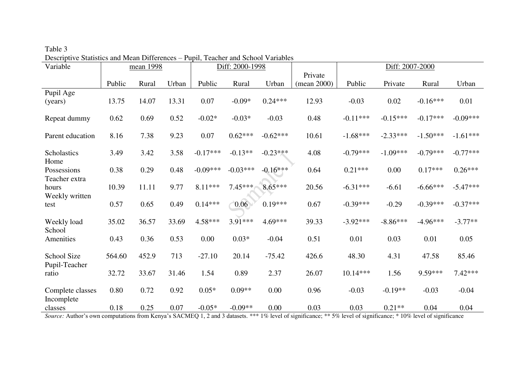| Variable                       |        | mean 1998 |       |            | Diff: 2000-1998 |            |             |            | Diff: 2007-2000 |            |            |
|--------------------------------|--------|-----------|-------|------------|-----------------|------------|-------------|------------|-----------------|------------|------------|
|                                |        |           |       |            |                 |            | Private     |            |                 |            |            |
|                                | Public | Rural     | Urban | Public     | Rural           | Urban      | (mean 2000) | Public     | Private         | Rural      | Urban      |
| Pupil Age                      |        |           |       |            |                 |            |             |            |                 |            |            |
| (years)                        | 13.75  | 14.07     | 13.31 | 0.07       | $-0.09*$        | $0.24***$  | 12.93       | $-0.03$    | 0.02            | $-0.16***$ | 0.01       |
| Repeat dummy                   | 0.62   | 0.69      | 0.52  | $-0.02*$   | $-0.03*$        | $-0.03$    | 0.48        | $-0.11***$ | $-0.15***$      | $-0.17***$ | $-0.09***$ |
| Parent education               | 8.16   | 7.38      | 9.23  | 0.07       | $0.62***$       | $-0.62***$ | 10.61       | $-1.68***$ | $-2.33***$      | $-1.50***$ | $-1.61***$ |
| Scholastics<br>Home            | 3.49   | 3.42      | 3.58  | $-0.17***$ | $-0.13**$       | $-0.23***$ | 4.08        | $-0.79***$ | $-1.09***$      | $-0.79***$ | $-0.77***$ |
| Possessions<br>Teacher extra   | 0.38   | 0.29      | 0.48  | $-0.09***$ | $-0.03***$      | $-0.16***$ | 0.64        | $0.21***$  | 0.00            | $0.17***$  | $0.26***$  |
| hours<br>Weekly written        | 10.39  | 11.11     | 9.77  | 8.11***    | $7.45***$       | $8.65***$  | 20.56       | $-6.31***$ | $-6.61$         | $-6.66***$ | $-5.47***$ |
| test                           | 0.57   | 0.65      | 0.49  | $0.14***$  | 0.06            | $0.19***$  | 0.67        | $-0.39***$ | $-0.29$         | $-0.39***$ | $-0.37***$ |
| Weekly load<br>School          | 35.02  | 36.57     | 33.69 | $4.58***$  | $3.91***$       | 4.69***    | 39.33       | $-3.92***$ | $-8.86***$      | $-4.96***$ | $-3.77**$  |
| Amenities                      | 0.43   | 0.36      | 0.53  | 0.00       | $0.03*$         | $-0.04$    | 0.51        | 0.01       | 0.03            | 0.01       | 0.05       |
| School Size<br>Pupil-Teacher   | 564.60 | 452.9     | 713   | $-27.10$   | 20.14           | $-75.42$   | 426.6       | 48.30      | 4.31            | 47.58      | 85.46      |
| ratio                          | 32.72  | 33.67     | 31.46 | 1.54       | 0.89            | 2.37       | 26.07       | $10.14***$ | 1.56            | 9.59***    | $7.42***$  |
| Complete classes<br>Incomplete | 0.80   | 0.72      | 0.92  | $0.05*$    | $0.09**$        | 0.00       | 0.96        | $-0.03$    | $-0.19**$       | $-0.03$    | $-0.04$    |
| classes                        | 0.18   | 0.25      | 0.07  | $-0.05*$   | $-0.09**$       | 0.00       | 0.03        | 0.03       | $0.21**$        | 0.04       | 0.04       |

Table 3 Descriptive Statistics and Mean Differences – Pupil, Teacher and School Variables

Source: Author's own computations from Kenya's SACMEQ 1, 2 and 3 datasets. \*\*\* 1% level of significance; \*\* 5% level of significance; \* 10% level of significance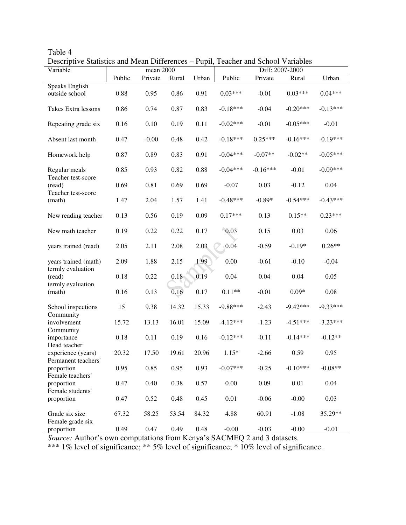| Variable                            |        | mean 2000 |       |       |                 |            | Diff: 2007-2000 |            |
|-------------------------------------|--------|-----------|-------|-------|-----------------|------------|-----------------|------------|
|                                     | Public | Private   | Rural | Urban | Public          | Private    | Rural           | Urban      |
| Speaks English                      |        |           |       |       |                 |            |                 |            |
| outside school                      | 0.88   | 0.95      | 0.86  | 0.91  | $0.03***$       | $-0.01$    | $0.03***$       | $0.04***$  |
| Takes Extra lessons                 | 0.86   | 0.74      | 0.87  | 0.83  | $-0.18***$      | $-0.04$    | $-0.20***$      | $-0.13***$ |
| Repeating grade six                 | 0.16   | 0.10      | 0.19  | 0.11  | $-0.02***$      | $-0.01$    | $-0.05***$      | $-0.01$    |
| Absent last month                   | 0.47   | $-0.00$   | 0.48  | 0.42  | $-0.18***$      | $0.25***$  | $-0.16***$      | $-0.19***$ |
| Homework help                       | 0.87   | 0.89      | 0.83  | 0.91  | $-0.04***$      | $-0.07**$  | $-0.02**$       | $-0.05***$ |
| Regular meals<br>Teacher test-score | 0.85   | 0.93      | 0.82  | 0.88  | $-0.04***$      | $-0.16***$ | $-0.01$         | $-0.09***$ |
| (read)<br>Teacher test-score        | 0.69   | 0.81      | 0.69  | 0.69  | $-0.07$         | 0.03       | $-0.12$         | 0.04       |
| (math)                              | 1.47   | 2.04      | 1.57  | 1.41  | $-0.48***$      | $-0.89*$   | $-0.54***$      | $-0.43***$ |
| New reading teacher                 | 0.13   | 0.56      | 0.19  | 0.09  | $0.17***$       | 0.13       | $0.15**$        | $0.23***$  |
| New math teacher                    | 0.19   | 0.22      | 0.22  | 0.17  | $\bigcirc$ 0.03 | 0.15       | 0.03            | 0.06       |
| years trained (read)                | 2.05   | 2.11      | 2.08  | 2.03  | 0.04            | $-0.59$    | $-0.19*$        | $0.26**$   |
| years trained (math)                | 2.09   | 1.88      | 2.15  | 1.99  | 0.00            | $-0.61$    | $-0.10$         | $-0.04$    |
| termly evaluation<br>(read)         | 0.18   | 0.22      | 0.18  | 0.19  | 0.04            | 0.04       | 0.04            | 0.05       |
| termly evaluation<br>(math)         | 0.16   | 0.13      | 0.16  | 0.17  | $0.11**$        | $-0.01$    | $0.09*$         | 0.08       |
| School inspections                  | 15     | 9.38      | 14.32 | 15.33 | $-9.88***$      | $-2.43$    | $-9.42***$      | $-9.33***$ |
| Community<br>involvement            | 15.72  | 13.13     | 16.01 | 15.09 | $-4.12***$      | $-1.23$    | $-4.51***$      | $-3.23***$ |
| Community<br>importance             | 0.18   | 0.11      | 0.19  | 0.16  | $-0.12***$      | $-0.11$    | $-0.14***$      | $-0.12**$  |
| Head teacher<br>experience (years)  | 20.32  | 17.50     | 19.61 | 20.96 | $1.15*$         | $-2.66$    | 0.59            | 0.95       |
| Permanent teachers'<br>proportion   | 0.95   | 0.85      | 0.95  | 0.93  | $-0.07***$      | $-0.25$    | $-0.10***$      | $-0.08**$  |
| Female teachers'<br>proportion      | 0.47   | 0.40      | 0.38  | 0.57  | $0.00\,$        | 0.09       | 0.01            | 0.04       |
| Female students'<br>proportion      | 0.47   | 0.52      | 0.48  | 0.45  | 0.01            | $-0.06$    | $-0.00$         | 0.03       |
| Grade six size                      | 67.32  | 58.25     | 53.54 | 84.32 | 4.88            | 60.91      | $-1.08$         | 35.29**    |
| Female grade six<br>proportion      | 0.49   | 0.47      | 0.49  | 0.48  | $-0.00$         | $-0.03$    | $-0.00$         | $-0.01$    |

Table 4 Descriptive Statistics and Mean Differences – Pupil, Teacher and School Variables

*Source:* Author's own computations from Kenya's SACMEQ 2 and 3 datasets.

\*\*\* 1% level of significance; \*\* 5% level of significance; \* 10% level of significance.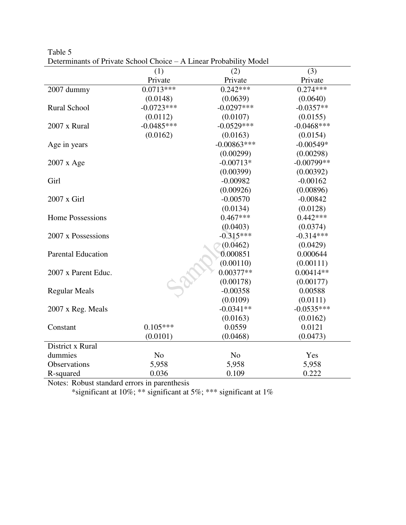|                           | (1)            | (2)            | (3)          |
|---------------------------|----------------|----------------|--------------|
|                           | Private        | Private        | Private      |
| 2007 dummy                | $0.0713***$    | $0.242***$     | $0.274***$   |
|                           | (0.0148)       | (0.0639)       | (0.0640)     |
| <b>Rural School</b>       | $-0.0723***$   | $-0.0297***$   | $-0.0357**$  |
|                           | (0.0112)       | (0.0107)       | (0.0155)     |
| 2007 x Rural              | $-0.0485***$   | $-0.0529***$   | $-0.0468***$ |
|                           | (0.0162)       | (0.0163)       | (0.0154)     |
| Age in years              |                | $-0.00863***$  | $-0.00549*$  |
|                           |                | (0.00299)      | (0.00298)    |
| $2007 \times Age$         |                | $-0.00713*$    | $-0.00799**$ |
|                           |                | (0.00399)      | (0.00392)    |
| Girl                      |                | $-0.00982$     | $-0.00162$   |
|                           |                | (0.00926)      | (0.00896)    |
| $2007 \times$ Girl        |                | $-0.00570$     | $-0.00842$   |
|                           |                | (0.0134)       | (0.0128)     |
| <b>Home Possessions</b>   |                | $0.467***$     | $0.442***$   |
|                           |                | (0.0403)       | (0.0374)     |
| 2007 x Possessions        |                | $-0.315***$    | $-0.314***$  |
|                           |                | (0.0462)       | (0.0429)     |
| <b>Parental Education</b> |                | 0.000851       | 0.000644     |
|                           |                | (0.00110)      | (0.00111)    |
| 2007 x Parent Educ.       |                | $0.00377**$    | $0.00414**$  |
|                           |                | (0.00178)      | (0.00177)    |
| <b>Regular Meals</b>      |                | $-0.00358$     | 0.00588      |
|                           |                | (0.0109)       | (0.0111)     |
| 2007 x Reg. Meals         |                | $-0.0341**$    | $-0.0535***$ |
|                           |                | (0.0163)       | (0.0162)     |
| Constant                  | $0.105***$     | 0.0559         | 0.0121       |
|                           | (0.0101)       | (0.0468)       | (0.0473)     |
| District x Rural          |                |                |              |
| dummies                   | N <sub>o</sub> | N <sub>o</sub> | Yes          |
| Observations              | 5,958          | 5,958          | 5,958        |
| R-squared                 | 0.036          | 0.109          | 0.222        |

Table 5 Determinants of Private School Choice – A Linear Probability Model

\*significant at 10%; \*\* significant at 5%; \*\*\* significant at 1%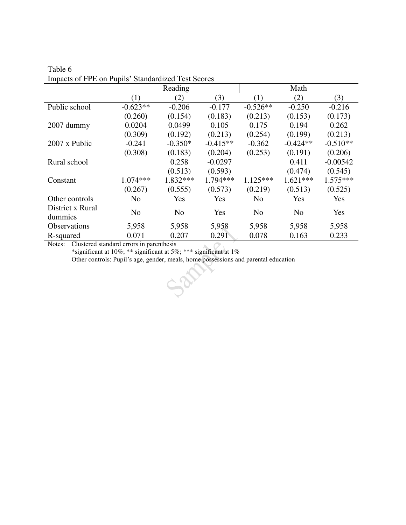|                     |                | Reading        |            |                | Math           |            |
|---------------------|----------------|----------------|------------|----------------|----------------|------------|
|                     | (1)            | (2)            | (3)        | (1)            | (2)            | (3)        |
| Public school       | $-0.623**$     | $-0.206$       | $-0.177$   | $-0.526**$     | $-0.250$       | $-0.216$   |
|                     | (0.260)        | (0.154)        | (0.183)    | (0.213)        | (0.153)        | (0.173)    |
| 2007 dummy          | 0.0204         | 0.0499         | 0.105      | 0.175          | 0.194          | 0.262      |
|                     | (0.309)        | (0.192)        | (0.213)    | (0.254)        | (0.199)        | (0.213)    |
| 2007 x Public       | $-0.241$       | $-0.350*$      | $-0.415**$ | $-0.362$       | $-0.424**$     | $-0.510**$ |
|                     | (0.308)        | (0.183)        | (0.204)    | (0.253)        | (0.191)        | (0.206)    |
| Rural school        |                | 0.258          | $-0.0297$  |                | 0.411          | $-0.00542$ |
|                     |                | (0.513)        | (0.593)    |                | (0.474)        | (0.545)    |
| Constant            | $1.074***$     | $1.832***$     | 1.794 ***  | $1.125***$     | $1.621***$     | $1.575***$ |
|                     | (0.267)        | (0.555)        | (0.573)    | (0.219)        | (0.513)        | (0.525)    |
| Other controls      | N <sub>o</sub> | Yes            | Yes        | N <sub>o</sub> | Yes            | Yes        |
| District x Rural    | N <sub>o</sub> | N <sub>o</sub> | Yes        | N <sub>0</sub> | N <sub>o</sub> | Yes        |
| dummies             |                |                |            |                |                |            |
| <b>Observations</b> | 5,958          | 5,958          | 5,958      | 5,958          | 5,958          | 5,958      |
| R-squared           | 0.071          | 0.207          | 0.291      | 0.078          | 0.163          | 0.233      |

Table 6 Impacts of FPE on Pupils' Standardized Test Scores

\*significant at 10%; \*\* significant at 5%; \*\*\* significant at 1%

Other controls: Pupil's age, gender, meals, home possessions and parental education

 $\rightarrow$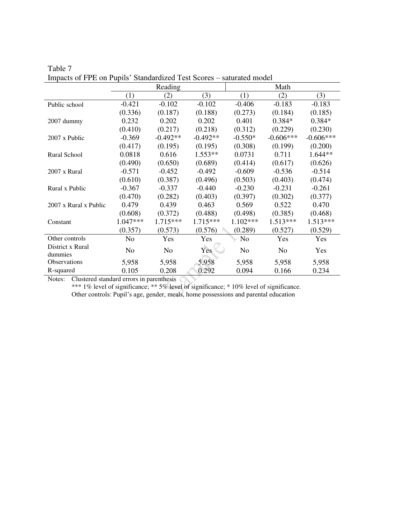|                             |                | Reading        |            |                | Math           |             |
|-----------------------------|----------------|----------------|------------|----------------|----------------|-------------|
|                             | (1)            | (2)            | (3)        | (1)            | (2)            | (3)         |
| Public school               | $-0.421$       | $-0.102$       | $-0.102$   | $-0.406$       | $-0.183$       | $-0.183$    |
|                             | (0.336)        | (0.187)        | (0.188)    | (0.273)        | (0.184)        | (0.185)     |
| 2007 dummy                  | 0.232          | 0.202          | 0.202      | 0.401          | $0.384*$       | $0.384*$    |
|                             | (0.410)        | (0.217)        | (0.218)    | (0.312)        | (0.229)        | (0.230)     |
| $2007 \times$ Public        | $-0.369$       | $-0.492**$     | $-0.492**$ | $-0.550*$      | $-0.606***$    | $-0.606***$ |
|                             | (0.417)        | (0.195)        | (0.195)    | (0.308)        | (0.199)        | (0.200)     |
| <b>Rural School</b>         | 0.0818         | 0.616          | $1.553**$  | 0.0731         | 0.711          | $1.644**$   |
|                             | (0.490)        | (0.650)        | (0.689)    | (0.414)        | (0.617)        | (0.626)     |
| $2007 \times$ Rural         | $-0.571$       | $-0.452$       | $-0.492$   | $-0.609$       | $-0.536$       | $-0.514$    |
|                             | (0.610)        | (0.387)        | (0.496)    | (0.503)        | (0.403)        | (0.474)     |
| Rural x Public              | $-0.367$       | $-0.337$       | $-0.440$   | $-0.230$       | $-0.231$       | $-0.261$    |
|                             | (0.470)        | (0.282)        | (0.403)    | (0.397)        | (0.302)        | (0.377)     |
| 2007 x Rural x Public       | 0.479          | 0.439          | 0.463      | 0.569          | 0.522          | 0.470       |
|                             | (0.608)        | (0.372)        | (0.488)    | (0.498)        | (0.385)        | (0.468)     |
| Constant                    | 1.047***       | 1.715***       | 1.715***   | $1.102***$     | $1.513***$     | 1.513***    |
|                             | (0.357)        | (0.573)        | (0.576)    | (0.289)        | (0.527)        | (0.529)     |
| Other controls              | N <sub>o</sub> | Yes            | Yes        | No             | Yes            | Yes         |
| District x Rural<br>dummies | N <sub>o</sub> | N <sub>o</sub> | <b>Yes</b> | N <sub>o</sub> | N <sub>o</sub> | Yes         |
| <b>Observations</b>         | 5,958          | 5,958          | 5,958      | 5,958          | 5,958          | 5,958       |
| R-squared                   | 0.105          | 0.208          | 0.292      | 0.094          | 0.166          | 0.234       |

Table 7 Impacts of FPE on Pupils' Standardized Test Scores – saturated model

\*\*\* 1% level of significance; \*\* 5% level of significance; \* 10% level of significance. Other controls: Pupil's age, gender, meals, home possessions and parental education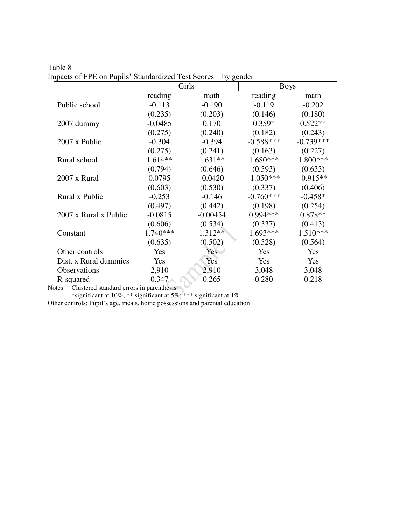|                       |            | Girls      | <b>Boys</b> |             |  |  |
|-----------------------|------------|------------|-------------|-------------|--|--|
|                       | reading    | math       | reading     | math        |  |  |
| Public school         | $-0.113$   | $-0.190$   | $-0.119$    | $-0.202$    |  |  |
|                       | (0.235)    | (0.203)    | (0.146)     | (0.180)     |  |  |
| $2007$ dummy          | $-0.0485$  | 0.170      | $0.359*$    | $0.522**$   |  |  |
|                       | (0.275)    | (0.240)    | (0.182)     | (0.243)     |  |  |
| 2007 x Public         | $-0.304$   | $-0.394$   | $-0.588***$ | $-0.739***$ |  |  |
|                       | (0.275)    | (0.241)    | (0.163)     | (0.227)     |  |  |
| Rural school          | $1.614**$  | $1.631**$  | $1.680***$  | 1.800***    |  |  |
|                       | (0.794)    | (0.646)    | (0.593)     | (0.633)     |  |  |
| 2007 x Rural          | 0.0795     | $-0.0420$  | $-1.050***$ | $-0.915**$  |  |  |
|                       | (0.603)    | (0.530)    | (0.337)     | (0.406)     |  |  |
| Rural x Public        | $-0.253$   | $-0.146$   | $-0.760***$ | $-0.458*$   |  |  |
|                       | (0.497)    | (0.442)    | (0.198)     | (0.254)     |  |  |
| 2007 x Rural x Public | $-0.0815$  | $-0.00454$ | 0.994***    | $0.878**$   |  |  |
|                       | (0.606)    | (0.534)    | (0.337)     | (0.413)     |  |  |
| Constant              | $1.740***$ | 1.312**    | $1.693***$  | $1.510***$  |  |  |
|                       | (0.635)    | (0.502)    | (0.528)     | (0.564)     |  |  |
| Other controls        | Yes        | Yes        | Yes         | Yes         |  |  |
| Dist. x Rural dummies | <b>Yes</b> | Yes        | Yes         | Yes         |  |  |
| Observations          | 2,910      | 2,910      | 3,048       | 3,048       |  |  |
| R-squared             | 0.347      | 0.265      | 0.280       | 0.218       |  |  |

Table 8 Impacts of FPE on Pupils' Standardized Test Scores – by gender

\*significant at 10%; \*\* significant at 5%; \*\*\* significant at 1%

Other controls: Pupil's age, meals, home possessions and parental education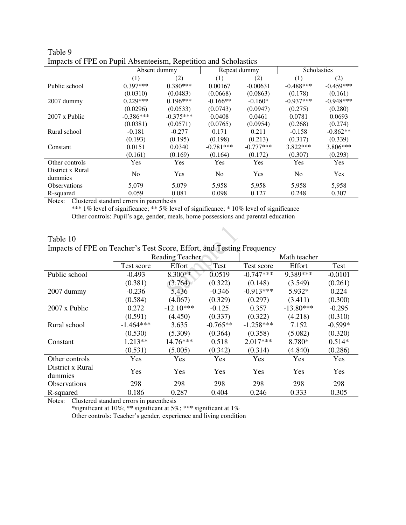|                             | Impacts of FTE on Fupil Abschiedism, Repetition and Scholastics |             |                |              |                    |             |  |  |  |
|-----------------------------|-----------------------------------------------------------------|-------------|----------------|--------------|--------------------|-------------|--|--|--|
|                             | Absent dummy                                                    |             |                | Repeat dummy | <b>Scholastics</b> |             |  |  |  |
|                             | (1)                                                             | (2)         | (1)            | (2)          | (1)                | (2)         |  |  |  |
| Public school               | $0.397***$                                                      | $0.380***$  | 0.00167        | $-0.00631$   | $-0.488***$        | $-0.459***$ |  |  |  |
|                             | (0.0310)                                                        | (0.0483)    | (0.0668)       | (0.0863)     | (0.178)            | (0.161)     |  |  |  |
| $2007$ dummy                | $0.229***$                                                      | $0.196***$  | $-0.166**$     | $-0.160*$    | $-0.937***$        | $-0.948***$ |  |  |  |
|                             | (0.0296)                                                        | (0.0533)    | (0.0743)       | (0.0947)     | (0.275)            | (0.280)     |  |  |  |
| 2007 x Public               | $-0.386***$                                                     | $-0.375***$ | 0.0408         | 0.0461       | 0.0781             | 0.0693      |  |  |  |
|                             | (0.0381)                                                        | (0.0571)    | (0.0765)       | (0.0954)     | (0.268)            | (0.274)     |  |  |  |
| Rural school                | $-0.181$                                                        | $-0.277$    | 0.171          | 0.211        | $-0.158$           | $-0.862**$  |  |  |  |
|                             | (0.193)                                                         | (0.195)     | (0.198)        | (0.213)      | (0.317)            | (0.339)     |  |  |  |
| Constant                    | 0.0151                                                          | 0.0340      | $-0.781***$    | $-0.777***$  | $3.822***$         | $3.806***$  |  |  |  |
|                             | (0.161)                                                         | (0.169)     | (0.164)        | (0.172)      | (0.307)            | (0.293)     |  |  |  |
| Other controls              | Yes                                                             | Yes         | Yes            | Yes          | Yes                | Yes         |  |  |  |
| District x Rural<br>dummies | N <sub>0</sub>                                                  | Yes         | N <sub>0</sub> | Yes          | N <sub>0</sub>     | Yes         |  |  |  |
| <b>Observations</b>         | 5.079                                                           | 5.079       | 5.958          | 5,958        | 5.958              | 5,958       |  |  |  |
| R-squared                   | 0.059                                                           | 0.081       | 0.098          | 0.127        | 0.248              | 0.307       |  |  |  |

| Table 9 |                                                                 |
|---------|-----------------------------------------------------------------|
|         | Impacts of FPE on Pupil Absenteeism, Repetition and Scholastics |

\*\*\* 1% level of significance; \*\* 5% level of significance; \* 10% level of significance Other controls: Pupil's age, gender, meals, home possessions and parental education

| Table 10                                                              |  |  |
|-----------------------------------------------------------------------|--|--|
| Impacts of FPE on Teacher's Test Score, Effort, and Testing Frequency |  |  |

|                      |             | Reading Teacher |            |             | Math teacher |           |
|----------------------|-------------|-----------------|------------|-------------|--------------|-----------|
|                      | Test score  | Effort          | Test       | Test score  | Effort       | Test      |
| Public school        | $-0.493$    | $8.300**$       | 0.0519     | $-0.747***$ | 9.389***     | $-0.0101$ |
|                      | (0.381)     | (3.764)         | (0.322)    | (0.148)     | (3.549)      | (0.261)   |
| 2007 dummy           | $-0.236$    | 5.436           | $-0.346$   | $-0.913***$ | 5.932*       | 0.224     |
|                      | (0.584)     | (4.067)         | (0.329)    | (0.297)     | (3.411)      | (0.300)   |
| $2007 \times$ Public | 0.272       | $-12.10***$     | $-0.125$   | 0.357       | $-13.80***$  | $-0.295$  |
|                      | (0.591)     | (4.450)         | (0.337)    | (0.322)     | (4.218)      | (0.310)   |
| Rural school         | $-1.464***$ | 3.635           | $-0.765**$ | $-1.258***$ | 7.152        | $-0.599*$ |
|                      | (0.530)     | (5.309)         | (0.364)    | (0.358)     | (5.082)      | (0.320)   |
| Constant             | $1.213**$   | $14.76***$      | 0.518      | $2.017***$  | 8.780*       | $0.514*$  |
|                      | (0.531)     | (5.005)         | (0.342)    | (0.314)     | (4.840)      | (0.286)   |
| Other controls       | Yes         | Yes             | Yes        | Yes         | Yes          | Yes       |
| District x Rural     | Yes         | Yes             | Yes        | Yes         | Yes          | Yes       |
| dummies              |             |                 |            |             |              |           |
| <b>Observations</b>  | 298         | 298             | 298        | 298         | 298          | 298       |
| R-squared            | 0.186       | 0.287           | 0.404      | 0.246       | 0.333        | 0.305     |

Notes: Clustered standard errors in parenthesis

\*significant at 10%; \*\* significant at 5%; \*\*\* significant at 1% Other controls: Teacher's gender, experience and living condition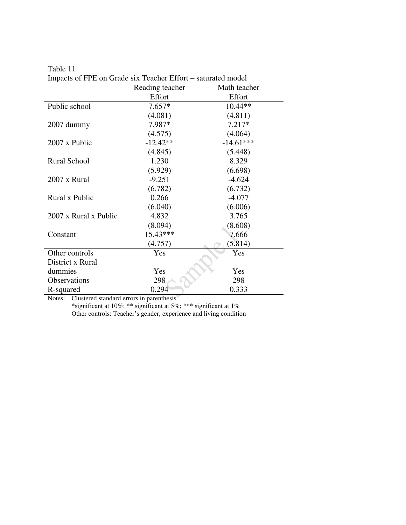|                       | Reading teacher | Math teacher |
|-----------------------|-----------------|--------------|
|                       | Effort          | Effort       |
| Public school         | $7.657*$        | $10.44**$    |
|                       | (4.081)         | (4.811)      |
| 2007 dummy            | 7.987*          | $7.217*$     |
|                       | (4.575)         | (4.064)      |
| 2007 x Public         | $-12.42**$      | $-14.61***$  |
|                       | (4.845)         | (5.448)      |
| <b>Rural School</b>   | 1.230           | 8.329        |
|                       | (5.929)         | (6.698)      |
| 2007 x Rural          | $-9.251$        | $-4.624$     |
|                       | (6.782)         | (6.732)      |
| Rural x Public        | 0.266           | $-4.077$     |
|                       | (6.040)         | (6.006)      |
| 2007 x Rural x Public | 4.832           | 3.765        |
|                       | (8.094)         | (8.608)      |
| Constant              | $15.43***$      | 7.666        |
|                       | (4.757)         | (5.814)      |
| Other controls        | Yes             | Yes          |
| District x Rural      |                 |              |
| dummies               | Yes             | Yes          |
| Observations          | 298             | 298          |
| R-squared             | 0.294           | 0.333        |

Table 11 Impacts of FPE on Grade six Teacher Effort – saturated model

\*significant at 10%; \*\* significant at 5%; \*\*\* significant at 1% Other controls: Teacher's gender, experience and living condition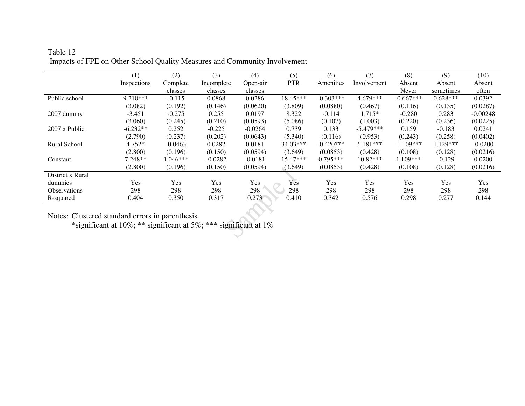# Table 12 Impacts of FPE on Other School Quality Measures and Community Involvement

|                             | (1)         | (2)        | (3)        | (4)       | (5)        | (6)         | (7)         | (8)         | (9)        | (10)       |
|-----------------------------|-------------|------------|------------|-----------|------------|-------------|-------------|-------------|------------|------------|
|                             | Inspections | Complete   | Incomplete | Open-air  | <b>PTR</b> | Amenities   | Involvement | Absent      | Absent     | Absent     |
|                             |             | classes    | classes    | classes   |            |             |             | Never       | sometimes  | often      |
| Public school               | 9.210***    | $-0.115$   | 0.0868     | 0.0286    | 18.45***   | $-0.303***$ | 4.679***    | $-0.667***$ | $0.628***$ | 0.0392     |
|                             | (3.082)     | (0.192)    | (0.146)    | (0.0620)  | (3.809)    | (0.0880)    | (0.467)     | (0.116)     | (0.135)    | (0.0287)   |
| 2007 dummy                  | $-3.451$    | $-0.275$   | 0.255      | 0.0197    | 8.322      | $-0.114$    | 1.715*      | $-0.280$    | 0.283      | $-0.00248$ |
|                             | (3.060)     | (0.245)    | (0.210)    | (0.0593)  | (5.086)    | (0.107)     | (1.003)     | (0.220)     | (0.236)    | (0.0225)   |
| $2007 \times \text{Public}$ | $-6.232**$  | 0.252      | $-0.225$   | $-0.0264$ | 0.739      | 0.133       | $-5.479***$ | 0.159       | $-0.183$   | 0.0241     |
|                             | (2.790)     | (0.237)    | (0.202)    | (0.0643)  | (5.340)    | (0.116)     | (0.953)     | (0.243)     | (0.258)    | (0.0402)   |
| Rural School                | $4.752*$    | $-0.0463$  | 0.0282     | 0.0181    | 34.03***   | $-0.420***$ | $6.181***$  | $-1.109***$ | 1.129***   | $-0.0200$  |
|                             | (2.800)     | (0.196)    | (0.150)    | (0.0594)  | (3.649)    | (0.0853)    | (0.428)     | (0.108)     | (0.128)    | (0.0216)   |
| Constant                    | $7.248**$   | $1.046***$ | $-0.0282$  | $-0.0181$ | $15.47***$ | $0.795***$  | $10.82***$  | $1.109***$  | $-0.129$   | 0.0200     |
|                             | (2.800)     | (0.196)    | (0.150)    | (0.0594)  | (3.649)    | (0.0853)    | (0.428)     | (0.108)     | (0.128)    | (0.0216)   |
| District x Rural            |             |            |            |           |            |             |             |             |            |            |
| dummies                     | Yes         | Yes        | Yes        | Yes       | Yes        | Yes         | <b>Yes</b>  | Yes         | Yes        | Yes        |
| <i><b>Observations</b></i>  | 298         | 298        | 298        | 298       | 298        | 298         | 298         | 298         | 298        | 298        |
| R-squared                   | 0.404       | 0.350      | 0.317      | 0.273     | 0.410      | 0.342       | 0.576       | 0.298       | 0.277      | 0.144      |

Notes: Clustered standard errors in parenthesis

\*significant at 10%; \*\* significant at 5%; \*\*\* significant at 1%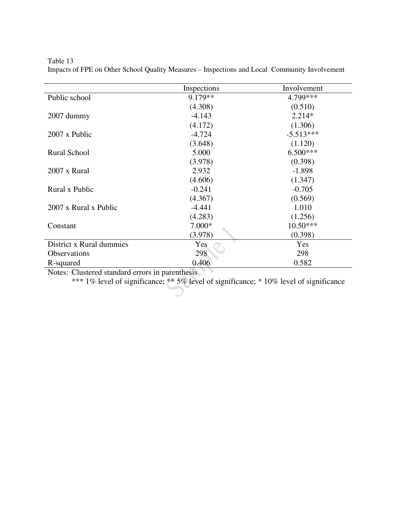|                          | Inspections | Involvement |
|--------------------------|-------------|-------------|
| Public school            | 9.179**     | 4.799***    |
|                          | (4.308)     | (0.510)     |
| $2007$ dummy             | $-4.143$    | $2.214*$    |
|                          | (4.172)     | (1.306)     |
| 2007 x Public            | $-4.724$    | $-5.513***$ |
|                          | (3.648)     | (1.120)     |
| Rural School             | 5.000       | $6.500***$  |
|                          | (3.978)     | (0.398)     |
| 2007 x Rural             | 2.932       | $-1.898$    |
|                          | (4.606)     | (1.347)     |
| Rural x Public           | $-0.241$    | $-0.705$    |
|                          | (4.367)     | (0.569)     |
| 2007 x Rural x Public    | $-4.441$    | 1.010       |
|                          | (4.283)     | (1.256)     |
| Constant                 | $7.000*$    | $10.50***$  |
|                          | (3.978)     | (0.398)     |
| District x Rural dummies | Yes         | Yes         |
| <b>Observations</b>      | 298         | 298         |
| R-squared                | 0.406       | 0.582       |

Table 13 Impacts of FPE on Other School Quality Measures – Inspections and Local Community Involvement

Notes: Clustered standard errors in parenthesis

\*\*\* 1% level of significance; \*\* 5% level of significance; \* 10% level of significance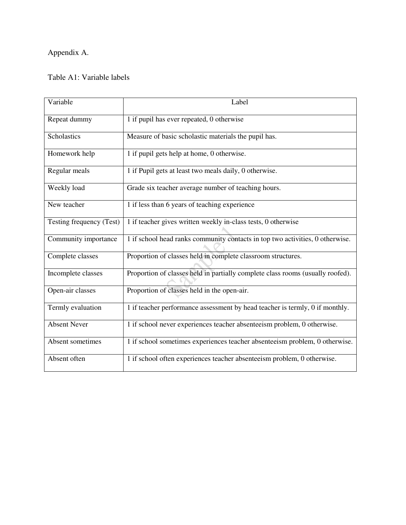# Appendix A.

# Table A1: Variable labels

| Variable                 | Label                                                                          |  |  |
|--------------------------|--------------------------------------------------------------------------------|--|--|
| Repeat dummy             | 1 if pupil has ever repeated, 0 otherwise                                      |  |  |
| Scholastics              | Measure of basic scholastic materials the pupil has.                           |  |  |
| Homework help            | 1 if pupil gets help at home, 0 otherwise.                                     |  |  |
| Regular meals            | 1 if Pupil gets at least two meals daily, 0 otherwise.                         |  |  |
| Weekly load              | Grade six teacher average number of teaching hours.                            |  |  |
| New teacher              | 1 if less than 6 years of teaching experience                                  |  |  |
| Testing frequency (Test) | 1 if teacher gives written weekly in-class tests, 0 otherwise                  |  |  |
| Community importance     | 1 if school head ranks community contacts in top two activities, 0 otherwise.  |  |  |
| Complete classes         | Proportion of classes held in complete classroom structures.                   |  |  |
| Incomplete classes       | Proportion of classes held in partially complete class rooms (usually roofed). |  |  |
| Open-air classes         | Proportion of classes held in the open-air.                                    |  |  |
| Termly evaluation        | 1 if teacher performance assessment by head teacher is termly, 0 if monthly.   |  |  |
| <b>Absent Never</b>      | 1 if school never experiences teacher absenteeism problem, 0 otherwise.        |  |  |
| Absent sometimes         | 1 if school sometimes experiences teacher absenteeism problem, 0 otherwise.    |  |  |
| Absent often             | 1 if school often experiences teacher absenteeism problem, 0 otherwise.        |  |  |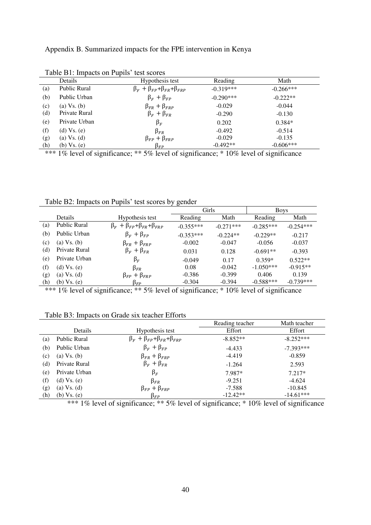Appendix B. Summarized impacts for the FPE intervention in Kenya

|     | Details             | Hypothesis test                                  | Reading     | Math        |
|-----|---------------------|--------------------------------------------------|-------------|-------------|
| (a) | <b>Public Rural</b> | $\beta_F + \beta_{FP} + \beta_{FR} + \beta_{FR}$ | $-0.319***$ | $-0.266***$ |
| (b) | Public Urban        | $\beta_F + \beta_{FP}$                           | $-0.290***$ | $-0.222**$  |
| (c) | $(a) Vs$ . $(b)$    | $\beta_{FR} + \beta_{FRP}$                       | $-0.029$    | $-0.044$    |
| (d) | Private Rural       | $\beta_F + \beta_{FR}$                           | $-0.290$    | $-0.130$    |
| (e) | Private Urban       | $\beta_F$                                        | 0.202       | $0.384*$    |
| (f) | (d) $Vs. (e)$       | $\beta_{FR}$                                     | $-0.492$    | $-0.514$    |
| (g) | $(a)$ Vs. $(d)$     | $\beta_{FP} + \beta_{FRP}$                       | $-0.029$    | $-0.135$    |
| (h) | (b) Vs. (e)         | $\beta_{FP}$                                     | $-0.492**$  | $-0.606***$ |

Table B1: Impacts on Pupils' test scores

\*\*\* 1% level of significance; \*\* 5% level of significance; \* 10% level of significance

Table B2: Impacts on Pupils' test scores by gender

|     |                     |                                                  | Girls       |             | <b>Boys</b> |             |
|-----|---------------------|--------------------------------------------------|-------------|-------------|-------------|-------------|
|     | <b>Details</b>      | Hypothesis test                                  | Reading     | Math        | Reading     | Math        |
| (a) | <b>Public Rural</b> | $\beta_F + \beta_{FP} + \beta_{FR} + \beta_{FR}$ | $-0.355***$ | $-0.271***$ | $-0.285***$ | $-0.254***$ |
| (b) | Public Urban        | $\beta_F + \beta_{FP}$                           | $-0.353***$ | $-0.224**$  | $-0.229**$  | $-0.217$    |
| (c) | $(a)$ Vs. $(b)$     | $\beta_{FR} + \beta_{FRP}$                       | $-0.002$    | $-0.047$    | $-0.056$    | $-0.037$    |
| (d) | Private Rural       | $\beta_F + \beta_{FR}$                           | 0.031       | 0.128       | $-0.691**$  | $-0.393$    |
| (e) | Private Urban       | $\beta_F$                                        | $-0.049$    | 0.17        | $0.359*$    | $0.522**$   |
| (f) | $(d) Vs$ . $(e)$    | $\beta_{FR}$                                     | 0.08        | $-0.042$    | $-1.050***$ | $-0.915**$  |
| (g) | $(a)$ Vs. $(d)$     | $\beta_{FP} + \beta_{FRP}$                       | $-0.386$    | $-0.399$    | 0.406       | 0.139       |
| (h) | $(b)$ Vs. $(e)$     | $\beta_{FP}$                                     | $-0.304$    | $-0.394$    | $-0.588***$ | $-0.739***$ |

\*\*\* 1% level of significance; \*\* 5% level of significance; \* 10% level of significance

## Table B3: Impacts on Grade six teacher Efforts

|     |                 |                                                  | Reading teacher | Math teacher |
|-----|-----------------|--------------------------------------------------|-----------------|--------------|
|     | Details         | Hypothesis test                                  | Effort          | Effort       |
| (a) | Public Rural    | $\beta_F + \beta_{FP} + \beta_{FR} + \beta_{FR}$ | $-8.852**$      | $-8.252***$  |
| (b) | Public Urban    | $\beta_F + \beta_{FP}$                           | $-4.433$        | $-7.393***$  |
| (c) | $(a)$ Vs. $(b)$ | $\beta_{FR} + \beta_{FRP}$                       | $-4.419$        | $-0.859$     |
| (d) | Private Rural   | $\beta_F + \beta_{FR}$                           | $-1.264$        | 2.593        |
| (e) | Private Urban   | $\beta_F$                                        | 7.987*          | $7.217*$     |
| (f) | $(d)$ Vs. $(e)$ | $\beta_{FR}$                                     | $-9.251$        | $-4.624$     |
| (g) | $(a)$ Vs. $(d)$ | $\beta_{FP} + \beta_{FRP}$                       | $-7.588$        | $-10.845$    |
| (h) | $(b)$ Vs. $(e)$ | $\beta_{FP}$                                     | $-12.42**$      | $-14.61***$  |

\*\*\* 1% level of significance; \*\* 5% level of significance; \* 10% level of significance